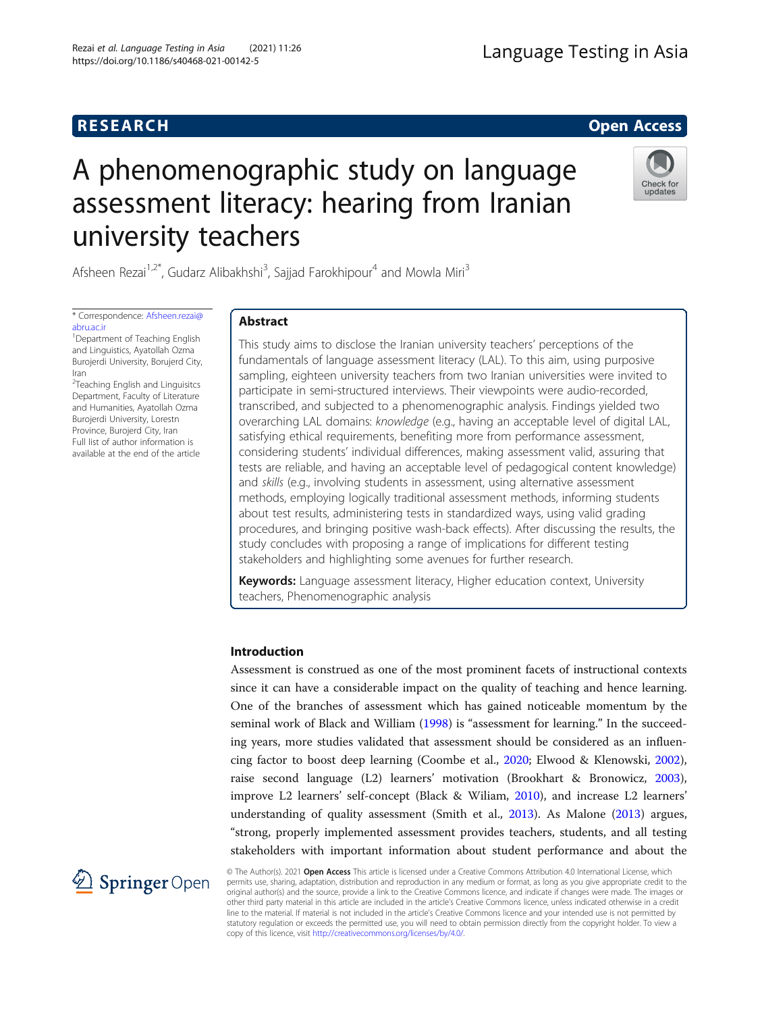# **RESEARCH CHE Open Access**

# A phenomenographic study on language assessment literacy: hearing from Iranian university teachers



Afsheen Rezai<sup>1,2\*</sup>, Gudarz Alibakhshi<sup>3</sup>, Sajjad Farokhipour<sup>4</sup> and Mowla Miri<sup>3</sup>

\* Correspondence: [Afsheen.rezai@](mailto:Afsheen.rezai@abru.ac.ir) [abru.ac.ir](mailto:Afsheen.rezai@abru.ac.ir)

<sup>1</sup>Department of Teaching English and Linguistics, Ayatollah Ozma Burojerdi University, Borujerd City, Iran

<sup>2</sup>Teaching English and Linguisitcs Department, Faculty of Literature and Humanities, Ayatollah Ozma Burojerdi University, Lorestn Province, Burojerd City, Iran Full list of author information is available at the end of the article

# Abstract

This study aims to disclose the Iranian university teachers' perceptions of the fundamentals of language assessment literacy (LAL). To this aim, using purposive sampling, eighteen university teachers from two Iranian universities were invited to participate in semi-structured interviews. Their viewpoints were audio-recorded, transcribed, and subjected to a phenomenographic analysis. Findings yielded two overarching LAL domains: knowledge (e.g., having an acceptable level of digital LAL, satisfying ethical requirements, benefiting more from performance assessment, considering students' individual differences, making assessment valid, assuring that tests are reliable, and having an acceptable level of pedagogical content knowledge) and skills (e.g., involving students in assessment, using alternative assessment methods, employing logically traditional assessment methods, informing students about test results, administering tests in standardized ways, using valid grading procedures, and bringing positive wash-back effects). After discussing the results, the study concludes with proposing a range of implications for different testing stakeholders and highlighting some avenues for further research.

Keywords: Language assessment literacy, Higher education context, University teachers, Phenomenographic analysis

# Introduction

Assessment is construed as one of the most prominent facets of instructional contexts since it can have a considerable impact on the quality of teaching and hence learning. One of the branches of assessment which has gained noticeable momentum by the seminal work of Black and William ([1998](#page-21-0)) is "assessment for learning." In the succeeding years, more studies validated that assessment should be considered as an influencing factor to boost deep learning (Coombe et al., [2020;](#page-22-0) Elwood & Klenowski, [2002](#page-22-0)), raise second language (L2) learners' motivation (Brookhart & Bronowicz, [2003](#page-21-0)), improve L2 learners' self-concept (Black & Wiliam, [2010](#page-21-0)), and increase L2 learners' understanding of quality assessment (Smith et al., [2013\)](#page-24-0). As Malone ([2013](#page-23-0)) argues, "strong, properly implemented assessment provides teachers, students, and all testing stakeholders with important information about student performance and about the



© The Author(s). 2021 Open Access This article is licensed under a Creative Commons Attribution 4.0 International License, which permits use, sharing, adaptation, distribution and reproduction in any medium or format, as long as you give appropriate credit to the original author(s) and the source, provide a link to the Creative Commons licence, and indicate if changes were made. The images or other third party material in this article are included in the article's Creative Commons licence, unless indicated otherwise in a credit line to the material. If material is not included in the article's Creative Commons licence and your intended use is not permitted by statutory regulation or exceeds the permitted use, you will need to obtain permission directly from the copyright holder. To view a copy of this licence, visit <http://creativecommons.org/licenses/by/4.0/>.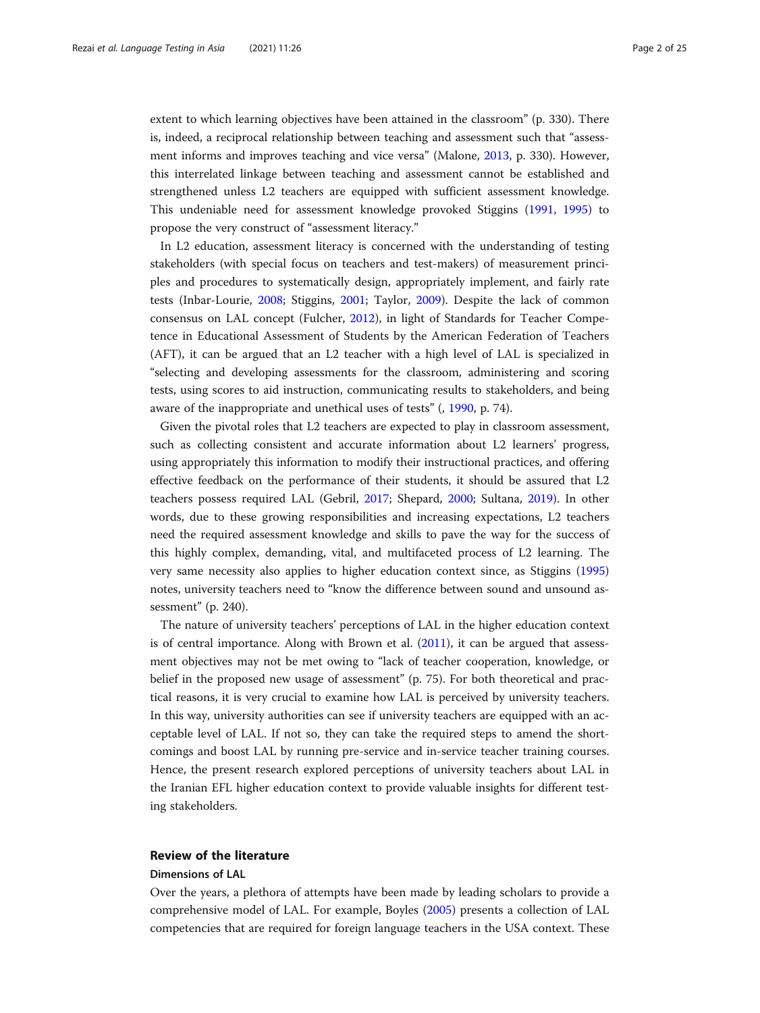extent to which learning objectives have been attained in the classroom" (p. 330). There is, indeed, a reciprocal relationship between teaching and assessment such that "assessment informs and improves teaching and vice versa" (Malone, [2013](#page-23-0), p. 330). However, this interrelated linkage between teaching and assessment cannot be established and strengthened unless L2 teachers are equipped with sufficient assessment knowledge. This undeniable need for assessment knowledge provoked Stiggins ([1991](#page-24-0), [1995](#page-24-0)) to propose the very construct of "assessment literacy."

In L2 education, assessment literacy is concerned with the understanding of testing stakeholders (with special focus on teachers and test-makers) of measurement principles and procedures to systematically design, appropriately implement, and fairly rate tests (Inbar-Lourie, [2008;](#page-23-0) Stiggins, [2001](#page-24-0); Taylor, [2009\)](#page-24-0). Despite the lack of common consensus on LAL concept (Fulcher, [2012\)](#page-22-0), in light of Standards for Teacher Competence in Educational Assessment of Students by the American Federation of Teachers (AFT), it can be argued that an L2 teacher with a high level of LAL is specialized in "selecting and developing assessments for the classroom, administering and scoring tests, using scores to aid instruction, communicating results to stakeholders, and being aware of the inappropriate and unethical uses of tests" (, [1990](#page-21-0), p. 74).

Given the pivotal roles that L2 teachers are expected to play in classroom assessment, such as collecting consistent and accurate information about L2 learners' progress, using appropriately this information to modify their instructional practices, and offering effective feedback on the performance of their students, it should be assured that L2 teachers possess required LAL (Gebril, [2017](#page-22-0); Shepard, [2000;](#page-24-0) Sultana, [2019](#page-24-0)). In other words, due to these growing responsibilities and increasing expectations, L2 teachers need the required assessment knowledge and skills to pave the way for the success of this highly complex, demanding, vital, and multifaceted process of L2 learning. The very same necessity also applies to higher education context since, as Stiggins ([1995](#page-24-0)) notes, university teachers need to "know the difference between sound and unsound assessment" (p. 240).

The nature of university teachers' perceptions of LAL in the higher education context is of central importance. Along with Brown et al.  $(2011)$  $(2011)$ , it can be argued that assessment objectives may not be met owing to "lack of teacher cooperation, knowledge, or belief in the proposed new usage of assessment" (p. 75). For both theoretical and practical reasons, it is very crucial to examine how LAL is perceived by university teachers. In this way, university authorities can see if university teachers are equipped with an acceptable level of LAL. If not so, they can take the required steps to amend the shortcomings and boost LAL by running pre-service and in-service teacher training courses. Hence, the present research explored perceptions of university teachers about LAL in the Iranian EFL higher education context to provide valuable insights for different testing stakeholders.

# Review of the literature

# Dimensions of LAL

Over the years, a plethora of attempts have been made by leading scholars to provide a comprehensive model of LAL. For example, Boyles ([2005](#page-21-0)) presents a collection of LAL competencies that are required for foreign language teachers in the USA context. These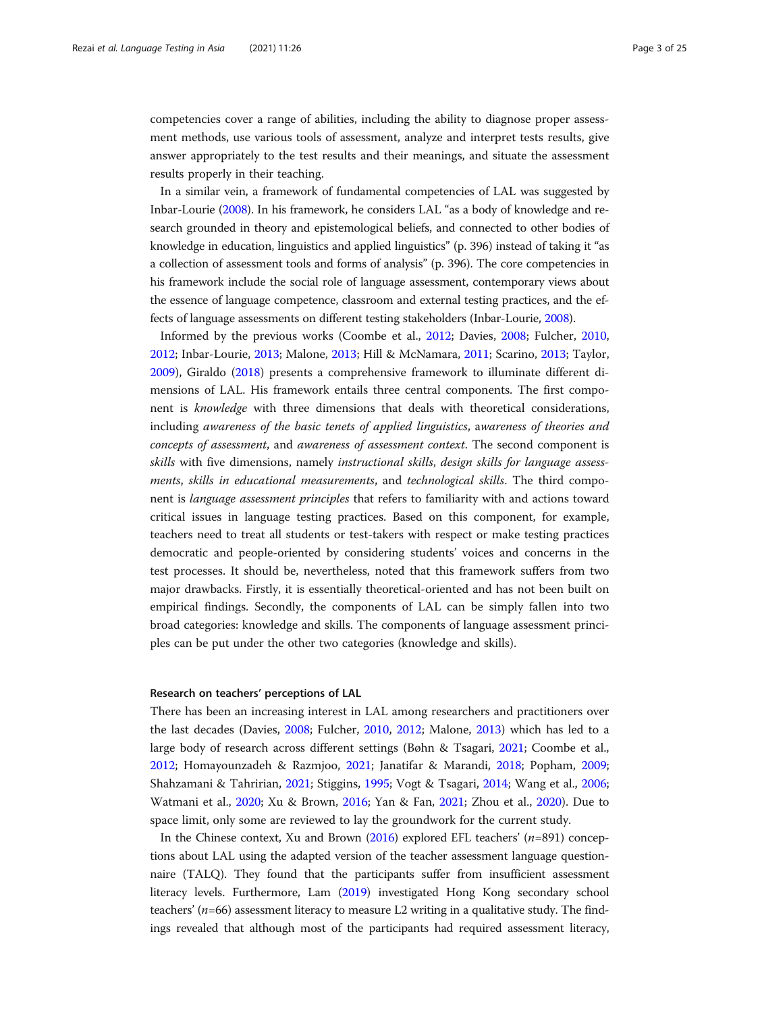competencies cover a range of abilities, including the ability to diagnose proper assessment methods, use various tools of assessment, analyze and interpret tests results, give answer appropriately to the test results and their meanings, and situate the assessment results properly in their teaching.

In a similar vein, a framework of fundamental competencies of LAL was suggested by Inbar-Lourie ([2008\)](#page-23-0). In his framework, he considers LAL "as a body of knowledge and research grounded in theory and epistemological beliefs, and connected to other bodies of knowledge in education, linguistics and applied linguistics" (p. 396) instead of taking it "as a collection of assessment tools and forms of analysis" (p. 396). The core competencies in his framework include the social role of language assessment, contemporary views about the essence of language competence, classroom and external testing practices, and the effects of language assessments on different testing stakeholders (Inbar-Lourie, [2008](#page-23-0)).

Informed by the previous works (Coombe et al., [2012;](#page-22-0) Davies, [2008;](#page-22-0) Fulcher, [2010](#page-22-0), [2012](#page-22-0); Inbar-Lourie, [2013](#page-23-0); Malone, [2013;](#page-23-0) Hill & McNamara, [2011;](#page-22-0) Scarino, [2013;](#page-24-0) Taylor, [2009](#page-24-0)), Giraldo [\(2018](#page-22-0)) presents a comprehensive framework to illuminate different dimensions of LAL. His framework entails three central components. The first component is knowledge with three dimensions that deals with theoretical considerations, including awareness of the basic tenets of applied linguistics, awareness of theories and concepts of assessment, and awareness of assessment context. The second component is skills with five dimensions, namely instructional skills, design skills for language assessments, skills in educational measurements, and technological skills. The third component is language assessment principles that refers to familiarity with and actions toward critical issues in language testing practices. Based on this component, for example, teachers need to treat all students or test-takers with respect or make testing practices democratic and people-oriented by considering students' voices and concerns in the test processes. It should be, nevertheless, noted that this framework suffers from two major drawbacks. Firstly, it is essentially theoretical-oriented and has not been built on empirical findings. Secondly, the components of LAL can be simply fallen into two broad categories: knowledge and skills. The components of language assessment principles can be put under the other two categories (knowledge and skills).

#### Research on teachers' perceptions of LAL

There has been an increasing interest in LAL among researchers and practitioners over the last decades (Davies, [2008;](#page-22-0) Fulcher, [2010](#page-22-0), [2012;](#page-22-0) Malone, [2013\)](#page-23-0) which has led to a large body of research across different settings (Bøhn & Tsagari, [2021;](#page-21-0) Coombe et al., [2012](#page-22-0); Homayounzadeh & Razmjoo, [2021](#page-23-0); Janatifar & Marandi, [2018;](#page-23-0) Popham, [2009](#page-23-0); Shahzamani & Tahririan, [2021](#page-24-0); Stiggins, [1995](#page-24-0); Vogt & Tsagari, [2014](#page-24-0); Wang et al., [2006](#page-24-0); Watmani et al., [2020](#page-24-0); Xu & Brown, [2016](#page-24-0); Yan & Fan, [2021](#page-24-0); Zhou et al., [2020](#page-24-0)). Due to space limit, only some are reviewed to lay the groundwork for the current study.

In the Chinese context, Xu and Brown ([2016](#page-24-0)) explored EFL teachers'  $(n=891)$  conceptions about LAL using the adapted version of the teacher assessment language questionnaire (TALQ). They found that the participants suffer from insufficient assessment literacy levels. Furthermore, Lam [\(2019\)](#page-23-0) investigated Hong Kong secondary school teachers' ( $n=66$ ) assessment literacy to measure L2 writing in a qualitative study. The findings revealed that although most of the participants had required assessment literacy,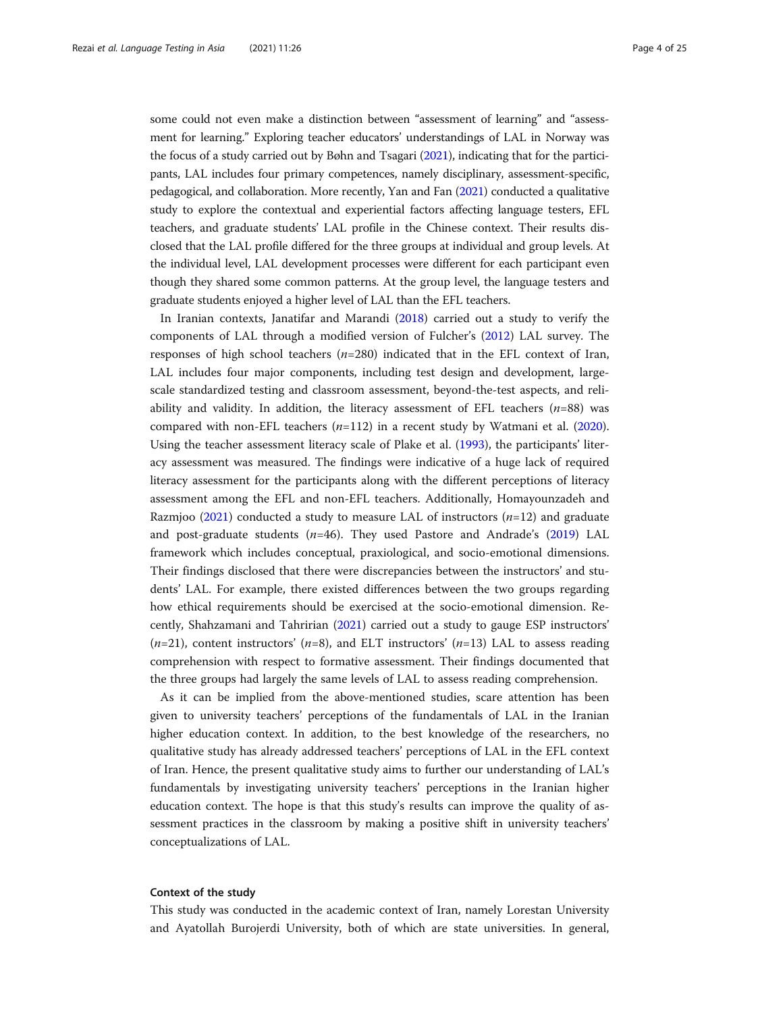some could not even make a distinction between "assessment of learning" and "assessment for learning." Exploring teacher educators' understandings of LAL in Norway was the focus of a study carried out by Bøhn and Tsagari [\(2021](#page-21-0)), indicating that for the participants, LAL includes four primary competences, namely disciplinary, assessment-specific, pedagogical, and collaboration. More recently, Yan and Fan [\(2021](#page-24-0)) conducted a qualitative study to explore the contextual and experiential factors affecting language testers, EFL teachers, and graduate students' LAL profile in the Chinese context. Their results disclosed that the LAL profile differed for the three groups at individual and group levels. At the individual level, LAL development processes were different for each participant even though they shared some common patterns. At the group level, the language testers and graduate students enjoyed a higher level of LAL than the EFL teachers.

In Iranian contexts, Janatifar and Marandi ([2018](#page-23-0)) carried out a study to verify the components of LAL through a modified version of Fulcher's [\(2012\)](#page-22-0) LAL survey. The responses of high school teachers  $(n=280)$  indicated that in the EFL context of Iran, LAL includes four major components, including test design and development, largescale standardized testing and classroom assessment, beyond-the-test aspects, and reliability and validity. In addition, the literacy assessment of EFL teachers  $(n=88)$  was compared with non-EFL teachers  $(n=112)$  in a recent study by Watmani et al. ([2020](#page-24-0)). Using the teacher assessment literacy scale of Plake et al. [\(1993\)](#page-23-0), the participants' literacy assessment was measured. The findings were indicative of a huge lack of required literacy assessment for the participants along with the different perceptions of literacy assessment among the EFL and non-EFL teachers. Additionally, Homayounzadeh and Razmjoo ([2021](#page-23-0)) conducted a study to measure LAL of instructors  $(n=12)$  and graduate and post-graduate students  $(n=46)$ . They used Pastore and Andrade's [\(2019\)](#page-23-0) LAL framework which includes conceptual, praxiological, and socio-emotional dimensions. Their findings disclosed that there were discrepancies between the instructors' and students' LAL. For example, there existed differences between the two groups regarding how ethical requirements should be exercised at the socio-emotional dimension. Recently, Shahzamani and Tahririan [\(2021\)](#page-24-0) carried out a study to gauge ESP instructors'  $(n=21)$ , content instructors'  $(n=8)$ , and ELT instructors'  $(n=13)$  LAL to assess reading comprehension with respect to formative assessment. Their findings documented that the three groups had largely the same levels of LAL to assess reading comprehension.

As it can be implied from the above-mentioned studies, scare attention has been given to university teachers' perceptions of the fundamentals of LAL in the Iranian higher education context. In addition, to the best knowledge of the researchers, no qualitative study has already addressed teachers' perceptions of LAL in the EFL context of Iran. Hence, the present qualitative study aims to further our understanding of LAL's fundamentals by investigating university teachers' perceptions in the Iranian higher education context. The hope is that this study's results can improve the quality of assessment practices in the classroom by making a positive shift in university teachers' conceptualizations of LAL.

#### Context of the study

This study was conducted in the academic context of Iran, namely Lorestan University and Ayatollah Burojerdi University, both of which are state universities. In general,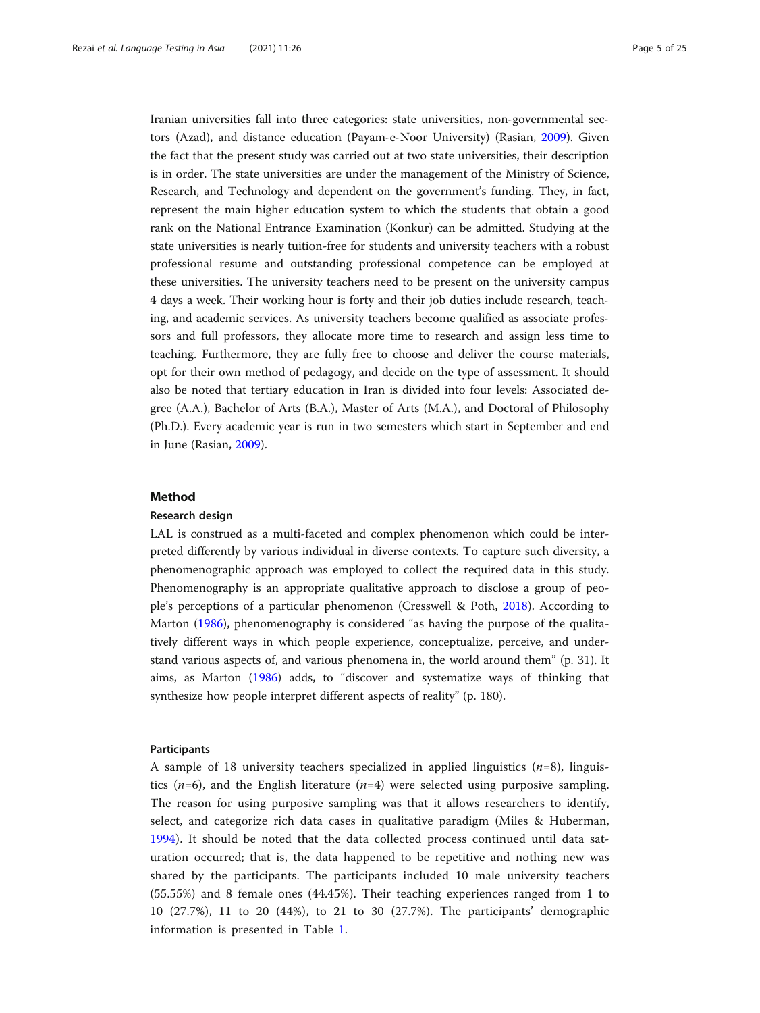Iranian universities fall into three categories: state universities, non-governmental sectors (Azad), and distance education (Payam-e-Noor University) (Rasian, [2009\)](#page-23-0). Given the fact that the present study was carried out at two state universities, their description is in order. The state universities are under the management of the Ministry of Science, Research, and Technology and dependent on the government's funding. They, in fact, represent the main higher education system to which the students that obtain a good rank on the National Entrance Examination (Konkur) can be admitted. Studying at the state universities is nearly tuition-free for students and university teachers with a robust professional resume and outstanding professional competence can be employed at these universities. The university teachers need to be present on the university campus 4 days a week. Their working hour is forty and their job duties include research, teaching, and academic services. As university teachers become qualified as associate professors and full professors, they allocate more time to research and assign less time to teaching. Furthermore, they are fully free to choose and deliver the course materials, opt for their own method of pedagogy, and decide on the type of assessment. It should also be noted that tertiary education in Iran is divided into four levels: Associated degree (A.A.), Bachelor of Arts (B.A.), Master of Arts (M.A.), and Doctoral of Philosophy (Ph.D.). Every academic year is run in two semesters which start in September and end in June (Rasian, [2009](#page-23-0)).

# Method

#### Research design

LAL is construed as a multi-faceted and complex phenomenon which could be interpreted differently by various individual in diverse contexts. To capture such diversity, a phenomenographic approach was employed to collect the required data in this study. Phenomenography is an appropriate qualitative approach to disclose a group of people's perceptions of a particular phenomenon (Cresswell & Poth, [2018\)](#page-22-0). According to Marton [\(1986\)](#page-23-0), phenomenography is considered "as having the purpose of the qualitatively different ways in which people experience, conceptualize, perceive, and understand various aspects of, and various phenomena in, the world around them" (p. 31). It aims, as Marton [\(1986\)](#page-23-0) adds, to "discover and systematize ways of thinking that synthesize how people interpret different aspects of reality" (p. 180).

#### Participants

A sample of 18 university teachers specialized in applied linguistics  $(n=8)$ , linguistics  $(n=6)$ , and the English literature  $(n=4)$  were selected using purposive sampling. The reason for using purposive sampling was that it allows researchers to identify, select, and categorize rich data cases in qualitative paradigm (Miles & Huberman, [1994\)](#page-23-0). It should be noted that the data collected process continued until data saturation occurred; that is, the data happened to be repetitive and nothing new was shared by the participants. The participants included 10 male university teachers (55.55%) and 8 female ones (44.45%). Their teaching experiences ranged from 1 to 10 (27.7%), 11 to 20 (44%), to 21 to 30 (27.7%). The participants' demographic information is presented in Table [1](#page-5-0).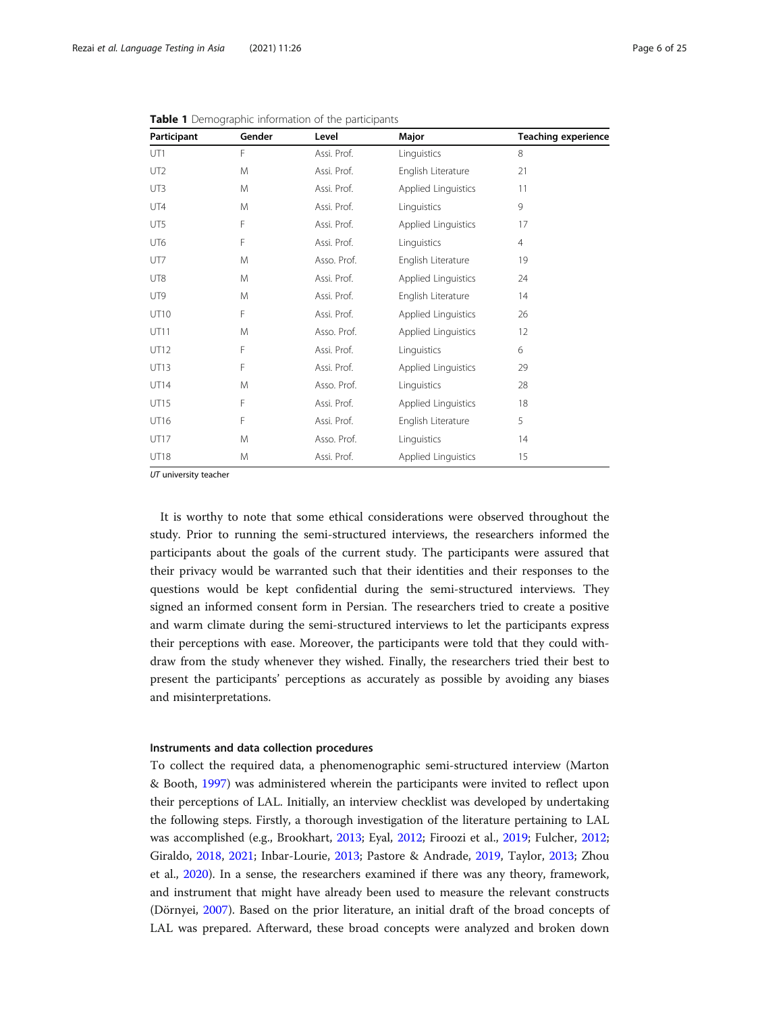| Participant     | Gender | Level       | Major               | <b>Teaching experience</b> |
|-----------------|--------|-------------|---------------------|----------------------------|
| UT1             | F      | Assi. Prof. | Linguistics         | 8                          |
| UT <sub>2</sub> | M      | Assi. Prof. | English Literature  | 21                         |
| UT3             | M      | Assi. Prof. | Applied Linguistics | 11                         |
| UT4             | M      | Assi. Prof. | Linguistics         | 9                          |
| UT5             | F      | Assi. Prof. | Applied Linguistics | 17                         |
| UT6             | F      | Assi. Prof. | Linguistics         | $\overline{4}$             |
| UT7             | M      | Asso. Prof. | English Literature  | 19                         |
| UT8             | M      | Assi. Prof. | Applied Linguistics | 24                         |
| UT9             | M      | Assi. Prof. | English Literature  | 14                         |
| UT10            | F      | Assi. Prof. | Applied Linguistics | 26                         |
| UT11            | M      | Asso. Prof. | Applied Linguistics | 12                         |
| UT12            | F      | Assi. Prof. | Linguistics         | 6                          |
| UT13            | F      | Assi. Prof. | Applied Linguistics | 29                         |
| UT14            | M      | Asso. Prof. | Linguistics         | 28                         |
| UT15            | F      | Assi. Prof. | Applied Linguistics | 18                         |
| UT16            | F      | Assi. Prof. | English Literature  | 5                          |
| UT17            | M      | Asso. Prof. | Linguistics         | 14                         |
| <b>UT18</b>     | M      | Assi, Prof. | Applied Linguistics | 15                         |

<span id="page-5-0"></span>Table 1 Demographic information of the participants

UT university teacher

It is worthy to note that some ethical considerations were observed throughout the study. Prior to running the semi-structured interviews, the researchers informed the participants about the goals of the current study. The participants were assured that their privacy would be warranted such that their identities and their responses to the questions would be kept confidential during the semi-structured interviews. They signed an informed consent form in Persian. The researchers tried to create a positive and warm climate during the semi-structured interviews to let the participants express their perceptions with ease. Moreover, the participants were told that they could withdraw from the study whenever they wished. Finally, the researchers tried their best to present the participants' perceptions as accurately as possible by avoiding any biases and misinterpretations.

# Instruments and data collection procedures

To collect the required data, a phenomenographic semi-structured interview (Marton & Booth, [1997\)](#page-23-0) was administered wherein the participants were invited to reflect upon their perceptions of LAL. Initially, an interview checklist was developed by undertaking the following steps. Firstly, a thorough investigation of the literature pertaining to LAL was accomplished (e.g., Brookhart, [2013;](#page-21-0) Eyal, [2012](#page-22-0); Firoozi et al., [2019;](#page-22-0) Fulcher, [2012](#page-22-0); Giraldo, [2018,](#page-22-0) [2021;](#page-22-0) Inbar-Lourie, [2013;](#page-23-0) Pastore & Andrade, [2019](#page-23-0), Taylor, [2013](#page-24-0); Zhou et al., [2020](#page-24-0)). In a sense, the researchers examined if there was any theory, framework, and instrument that might have already been used to measure the relevant constructs (Dörnyei, [2007\)](#page-22-0). Based on the prior literature, an initial draft of the broad concepts of LAL was prepared. Afterward, these broad concepts were analyzed and broken down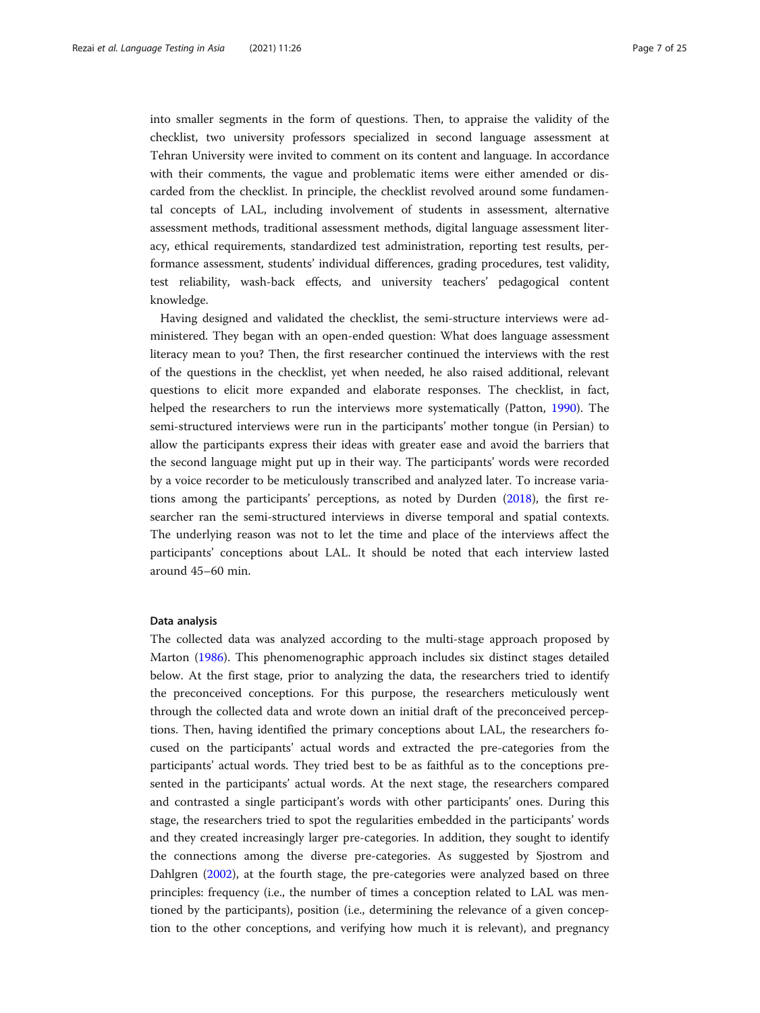into smaller segments in the form of questions. Then, to appraise the validity of the checklist, two university professors specialized in second language assessment at Tehran University were invited to comment on its content and language. In accordance with their comments, the vague and problematic items were either amended or discarded from the checklist. In principle, the checklist revolved around some fundamental concepts of LAL, including involvement of students in assessment, alternative assessment methods, traditional assessment methods, digital language assessment literacy, ethical requirements, standardized test administration, reporting test results, performance assessment, students' individual differences, grading procedures, test validity, test reliability, wash-back effects, and university teachers' pedagogical content knowledge.

Having designed and validated the checklist, the semi-structure interviews were administered. They began with an open-ended question: What does language assessment literacy mean to you? Then, the first researcher continued the interviews with the rest of the questions in the checklist, yet when needed, he also raised additional, relevant questions to elicit more expanded and elaborate responses. The checklist, in fact, helped the researchers to run the interviews more systematically (Patton, [1990\)](#page-23-0). The semi-structured interviews were run in the participants' mother tongue (in Persian) to allow the participants express their ideas with greater ease and avoid the barriers that the second language might put up in their way. The participants' words were recorded by a voice recorder to be meticulously transcribed and analyzed later. To increase variations among the participants' perceptions, as noted by Durden [\(2018\)](#page-22-0), the first researcher ran the semi-structured interviews in diverse temporal and spatial contexts. The underlying reason was not to let the time and place of the interviews affect the participants' conceptions about LAL. It should be noted that each interview lasted around 45–60 min.

#### Data analysis

The collected data was analyzed according to the multi-stage approach proposed by Marton ([1986](#page-23-0)). This phenomenographic approach includes six distinct stages detailed below. At the first stage, prior to analyzing the data, the researchers tried to identify the preconceived conceptions. For this purpose, the researchers meticulously went through the collected data and wrote down an initial draft of the preconceived perceptions. Then, having identified the primary conceptions about LAL, the researchers focused on the participants' actual words and extracted the pre-categories from the participants' actual words. They tried best to be as faithful as to the conceptions presented in the participants' actual words. At the next stage, the researchers compared and contrasted a single participant's words with other participants' ones. During this stage, the researchers tried to spot the regularities embedded in the participants' words and they created increasingly larger pre-categories. In addition, they sought to identify the connections among the diverse pre-categories. As suggested by Sjostrom and Dahlgren [\(2002\)](#page-24-0), at the fourth stage, the pre-categories were analyzed based on three principles: frequency (i.e., the number of times a conception related to LAL was mentioned by the participants), position (i.e., determining the relevance of a given conception to the other conceptions, and verifying how much it is relevant), and pregnancy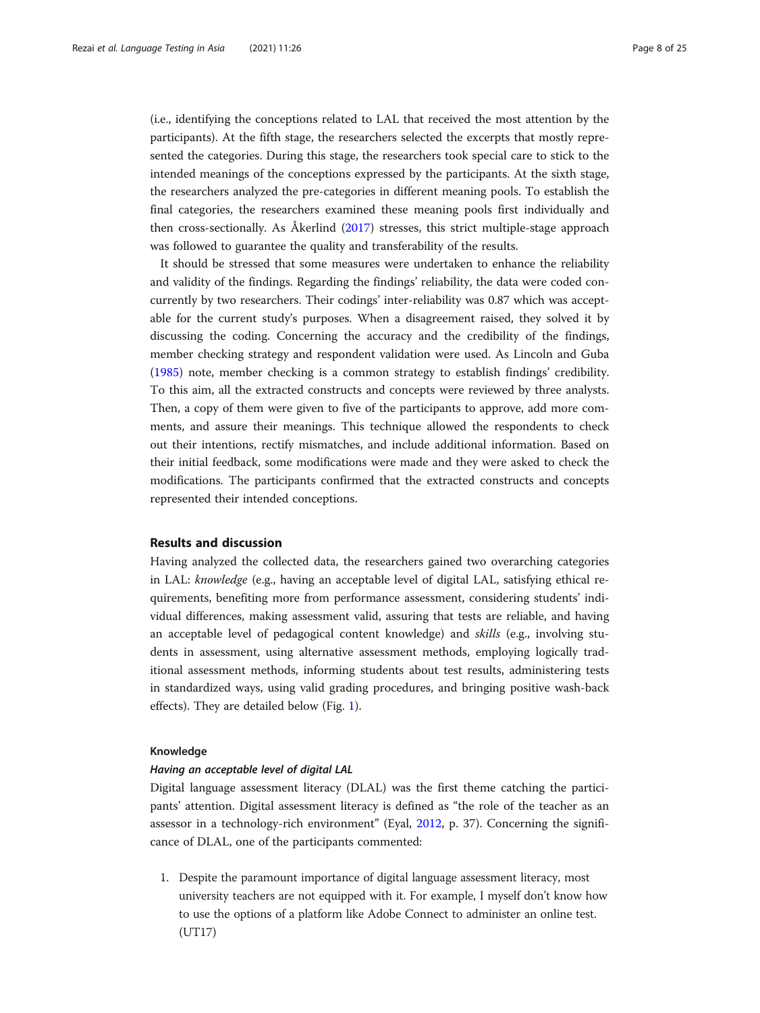(i.e., identifying the conceptions related to LAL that received the most attention by the participants). At the fifth stage, the researchers selected the excerpts that mostly represented the categories. During this stage, the researchers took special care to stick to the intended meanings of the conceptions expressed by the participants. At the sixth stage, the researchers analyzed the pre-categories in different meaning pools. To establish the final categories, the researchers examined these meaning pools first individually and then cross-sectionally. As Åkerlind ([2017](#page-21-0)) stresses, this strict multiple-stage approach was followed to guarantee the quality and transferability of the results.

It should be stressed that some measures were undertaken to enhance the reliability and validity of the findings. Regarding the findings' reliability, the data were coded concurrently by two researchers. Their codings' inter-reliability was 0.87 which was acceptable for the current study's purposes. When a disagreement raised, they solved it by discussing the coding. Concerning the accuracy and the credibility of the findings, member checking strategy and respondent validation were used. As Lincoln and Guba ([1985](#page-23-0)) note, member checking is a common strategy to establish findings' credibility. To this aim, all the extracted constructs and concepts were reviewed by three analysts. Then, a copy of them were given to five of the participants to approve, add more comments, and assure their meanings. This technique allowed the respondents to check out their intentions, rectify mismatches, and include additional information. Based on their initial feedback, some modifications were made and they were asked to check the modifications. The participants confirmed that the extracted constructs and concepts represented their intended conceptions.

#### Results and discussion

Having analyzed the collected data, the researchers gained two overarching categories in LAL: knowledge (e.g., having an acceptable level of digital LAL, satisfying ethical requirements, benefiting more from performance assessment, considering students' individual differences, making assessment valid, assuring that tests are reliable, and having an acceptable level of pedagogical content knowledge) and skills (e.g., involving students in assessment, using alternative assessment methods, employing logically traditional assessment methods, informing students about test results, administering tests in standardized ways, using valid grading procedures, and bringing positive wash-back effects). They are detailed below (Fig. [1](#page-8-0)).

#### Knowledge

#### Having an acceptable level of digital LAL

Digital language assessment literacy (DLAL) was the first theme catching the participants' attention. Digital assessment literacy is defined as "the role of the teacher as an assessor in a technology-rich environment" (Eyal, [2012](#page-22-0), p. 37). Concerning the significance of DLAL, one of the participants commented:

1. Despite the paramount importance of digital language assessment literacy, most university teachers are not equipped with it. For example, I myself don't know how to use the options of a platform like Adobe Connect to administer an online test. (UT17)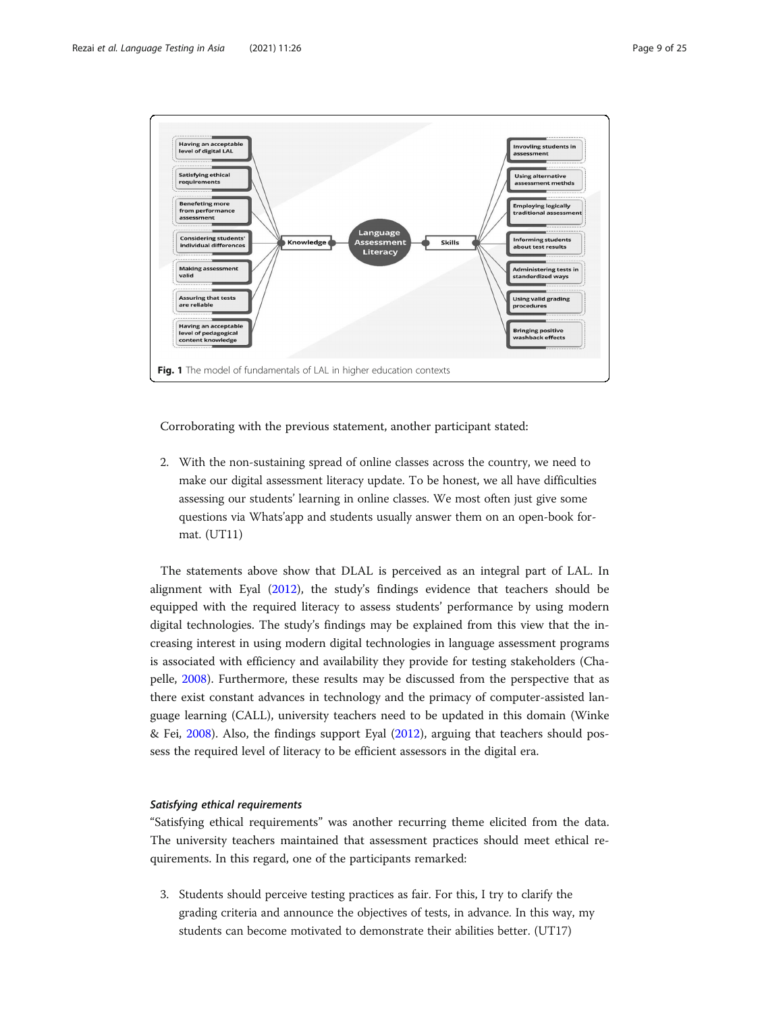<span id="page-8-0"></span>

Corroborating with the previous statement, another participant stated:

2. With the non-sustaining spread of online classes across the country, we need to make our digital assessment literacy update. To be honest, we all have difficulties assessing our students' learning in online classes. We most often just give some questions via Whats'app and students usually answer them on an open-book format. (UT11)

The statements above show that DLAL is perceived as an integral part of LAL. In alignment with Eyal [\(2012\)](#page-22-0), the study's findings evidence that teachers should be equipped with the required literacy to assess students' performance by using modern digital technologies. The study's findings may be explained from this view that the increasing interest in using modern digital technologies in language assessment programs is associated with efficiency and availability they provide for testing stakeholders (Chapelle, [2008](#page-22-0)). Furthermore, these results may be discussed from the perspective that as there exist constant advances in technology and the primacy of computer-assisted language learning (CALL), university teachers need to be updated in this domain (Winke & Fei, [2008\)](#page-24-0). Also, the findings support Eyal ([2012](#page-22-0)), arguing that teachers should possess the required level of literacy to be efficient assessors in the digital era.

# Satisfying ethical requirements

"Satisfying ethical requirements" was another recurring theme elicited from the data. The university teachers maintained that assessment practices should meet ethical requirements. In this regard, one of the participants remarked:

3. Students should perceive testing practices as fair. For this, I try to clarify the grading criteria and announce the objectives of tests, in advance. In this way, my students can become motivated to demonstrate their abilities better. (UT17)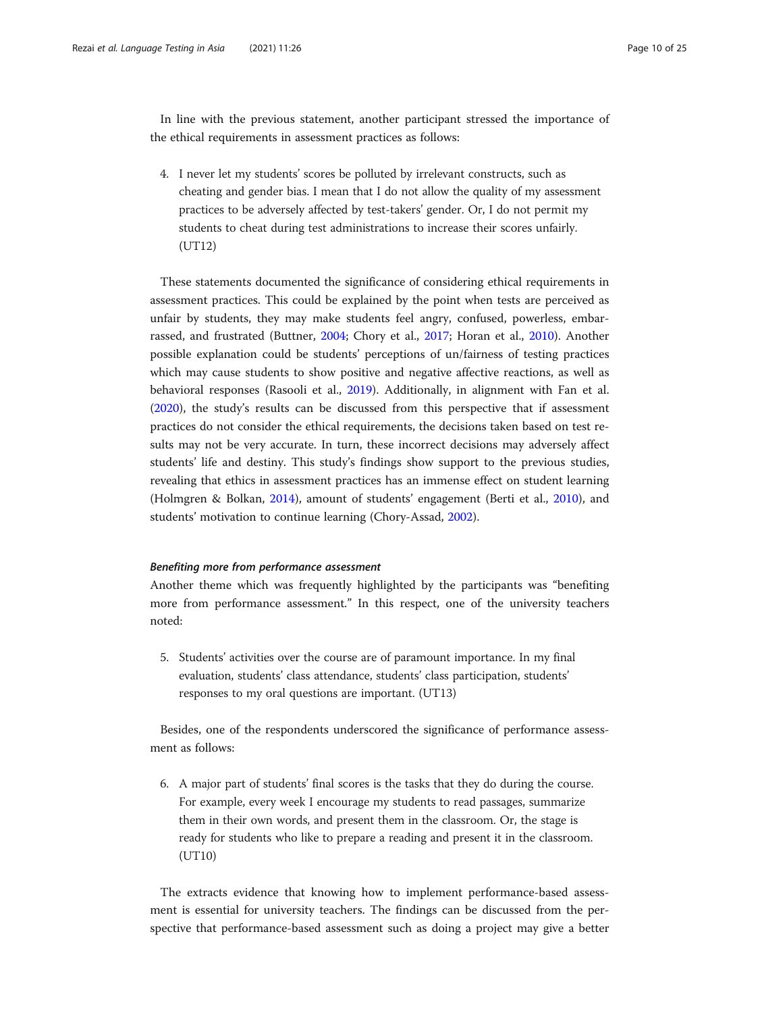In line with the previous statement, another participant stressed the importance of the ethical requirements in assessment practices as follows:

4. I never let my students' scores be polluted by irrelevant constructs, such as cheating and gender bias. I mean that I do not allow the quality of my assessment practices to be adversely affected by test-takers' gender. Or, I do not permit my students to cheat during test administrations to increase their scores unfairly. (UT12)

These statements documented the significance of considering ethical requirements in assessment practices. This could be explained by the point when tests are perceived as unfair by students, they may make students feel angry, confused, powerless, embarrassed, and frustrated (Buttner, [2004](#page-21-0); Chory et al., [2017](#page-22-0); Horan et al., [2010](#page-23-0)). Another possible explanation could be students' perceptions of un/fairness of testing practices which may cause students to show positive and negative affective reactions, as well as behavioral responses (Rasooli et al., [2019\)](#page-23-0). Additionally, in alignment with Fan et al. ([2020](#page-22-0)), the study's results can be discussed from this perspective that if assessment practices do not consider the ethical requirements, the decisions taken based on test results may not be very accurate. In turn, these incorrect decisions may adversely affect students' life and destiny. This study's findings show support to the previous studies, revealing that ethics in assessment practices has an immense effect on student learning (Holmgren & Bolkan, [2014](#page-23-0)), amount of students' engagement (Berti et al., [2010](#page-21-0)), and students' motivation to continue learning (Chory-Assad, [2002\)](#page-22-0).

# Benefiting more from performance assessment

Another theme which was frequently highlighted by the participants was "benefiting more from performance assessment." In this respect, one of the university teachers noted:

5. Students' activities over the course are of paramount importance. In my final evaluation, students' class attendance, students' class participation, students' responses to my oral questions are important. (UT13)

Besides, one of the respondents underscored the significance of performance assessment as follows:

6. A major part of students' final scores is the tasks that they do during the course. For example, every week I encourage my students to read passages, summarize them in their own words, and present them in the classroom. Or, the stage is ready for students who like to prepare a reading and present it in the classroom. (UT10)

The extracts evidence that knowing how to implement performance-based assessment is essential for university teachers. The findings can be discussed from the perspective that performance-based assessment such as doing a project may give a better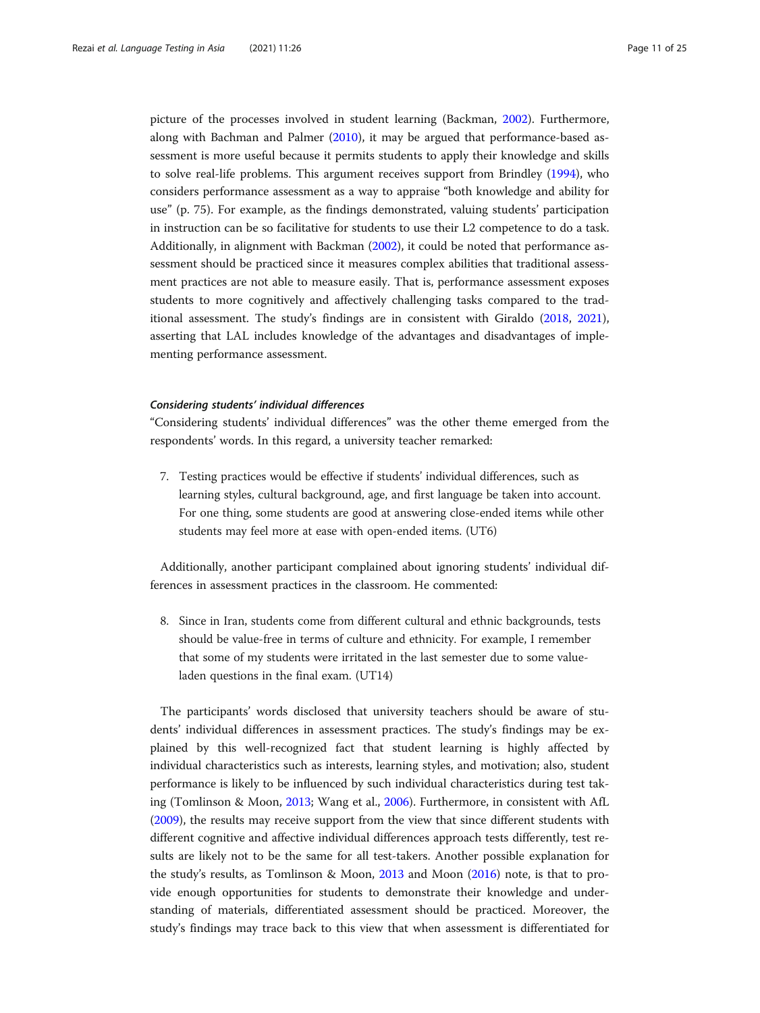picture of the processes involved in student learning (Backman, [2002\)](#page-21-0). Furthermore, along with Bachman and Palmer ([2010\)](#page-21-0), it may be argued that performance-based assessment is more useful because it permits students to apply their knowledge and skills to solve real-life problems. This argument receives support from Brindley ([1994](#page-21-0)), who considers performance assessment as a way to appraise "both knowledge and ability for use" (p. 75). For example, as the findings demonstrated, valuing students' participation in instruction can be so facilitative for students to use their L2 competence to do a task. Additionally, in alignment with Backman ([2002](#page-21-0)), it could be noted that performance assessment should be practiced since it measures complex abilities that traditional assessment practices are not able to measure easily. That is, performance assessment exposes students to more cognitively and affectively challenging tasks compared to the traditional assessment. The study's findings are in consistent with Giraldo [\(2018,](#page-22-0) [2021](#page-22-0)), asserting that LAL includes knowledge of the advantages and disadvantages of implementing performance assessment.

#### Considering students' individual differences

"Considering students' individual differences" was the other theme emerged from the respondents' words. In this regard, a university teacher remarked:

7. Testing practices would be effective if students' individual differences, such as learning styles, cultural background, age, and first language be taken into account. For one thing, some students are good at answering close-ended items while other students may feel more at ease with open-ended items. (UT6)

Additionally, another participant complained about ignoring students' individual differences in assessment practices in the classroom. He commented:

8. Since in Iran, students come from different cultural and ethnic backgrounds, tests should be value-free in terms of culture and ethnicity. For example, I remember that some of my students were irritated in the last semester due to some valueladen questions in the final exam. (UT14)

The participants' words disclosed that university teachers should be aware of students' individual differences in assessment practices. The study's findings may be explained by this well-recognized fact that student learning is highly affected by individual characteristics such as interests, learning styles, and motivation; also, student performance is likely to be influenced by such individual characteristics during test taking (Tomlinson & Moon, [2013;](#page-24-0) Wang et al., [2006\)](#page-24-0). Furthermore, in consistent with AfL ([2009](#page-21-0)), the results may receive support from the view that since different students with different cognitive and affective individual differences approach tests differently, test results are likely not to be the same for all test-takers. Another possible explanation for the study's results, as Tomlinson & Moon, [2013](#page-24-0) and Moon ([2016](#page-23-0)) note, is that to provide enough opportunities for students to demonstrate their knowledge and understanding of materials, differentiated assessment should be practiced. Moreover, the study's findings may trace back to this view that when assessment is differentiated for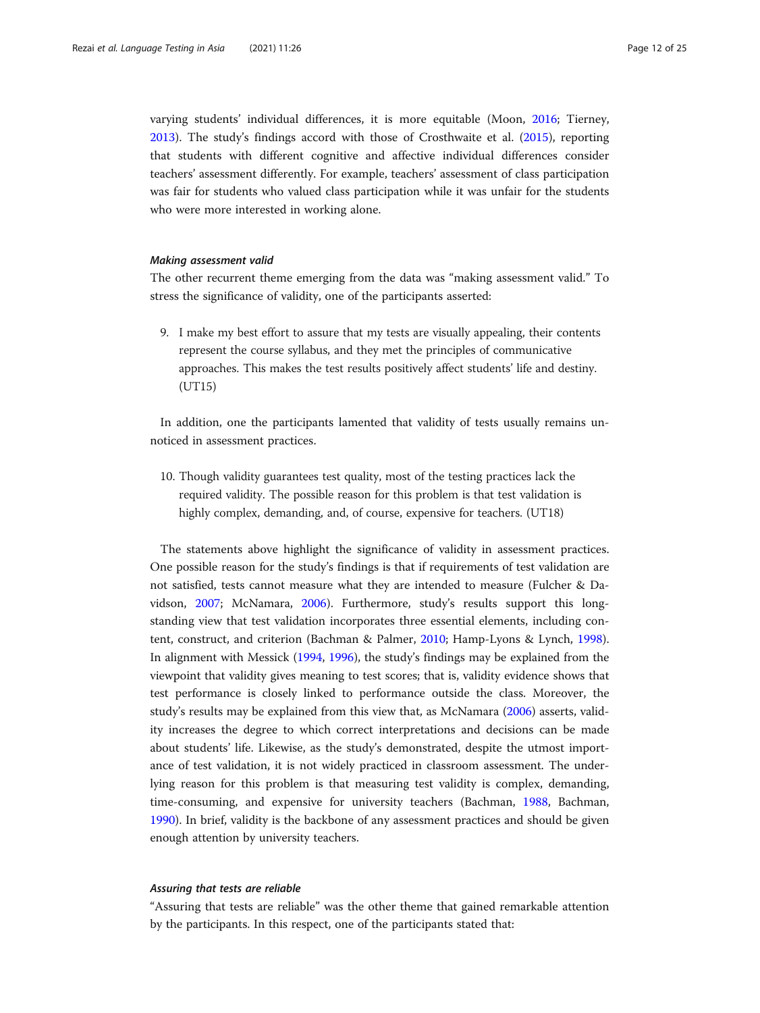varying students' individual differences, it is more equitable (Moon, [2016;](#page-23-0) Tierney, [2013](#page-24-0)). The study's findings accord with those of Crosthwaite et al. [\(2015](#page-22-0)), reporting that students with different cognitive and affective individual differences consider teachers' assessment differently. For example, teachers' assessment of class participation was fair for students who valued class participation while it was unfair for the students who were more interested in working alone.

#### Making assessment valid

The other recurrent theme emerging from the data was "making assessment valid." To stress the significance of validity, one of the participants asserted:

9. I make my best effort to assure that my tests are visually appealing, their contents represent the course syllabus, and they met the principles of communicative approaches. This makes the test results positively affect students' life and destiny. (UT15)

In addition, one the participants lamented that validity of tests usually remains unnoticed in assessment practices.

10. Though validity guarantees test quality, most of the testing practices lack the required validity. The possible reason for this problem is that test validation is highly complex, demanding, and, of course, expensive for teachers. (UT18)

The statements above highlight the significance of validity in assessment practices. One possible reason for the study's findings is that if requirements of test validation are not satisfied, tests cannot measure what they are intended to measure (Fulcher & Davidson, [2007;](#page-22-0) McNamara, [2006](#page-23-0)). Furthermore, study's results support this longstanding view that test validation incorporates three essential elements, including content, construct, and criterion (Bachman & Palmer, [2010](#page-21-0); Hamp-Lyons & Lynch, [1998](#page-22-0)). In alignment with Messick ([1994,](#page-23-0) [1996](#page-23-0)), the study's findings may be explained from the viewpoint that validity gives meaning to test scores; that is, validity evidence shows that test performance is closely linked to performance outside the class. Moreover, the study's results may be explained from this view that, as McNamara [\(2006\)](#page-23-0) asserts, validity increases the degree to which correct interpretations and decisions can be made about students' life. Likewise, as the study's demonstrated, despite the utmost importance of test validation, it is not widely practiced in classroom assessment. The underlying reason for this problem is that measuring test validity is complex, demanding, time-consuming, and expensive for university teachers (Bachman, [1988,](#page-21-0) Bachman, [1990](#page-21-0)). In brief, validity is the backbone of any assessment practices and should be given enough attention by university teachers.

# Assuring that tests are reliable

"Assuring that tests are reliable" was the other theme that gained remarkable attention by the participants. In this respect, one of the participants stated that: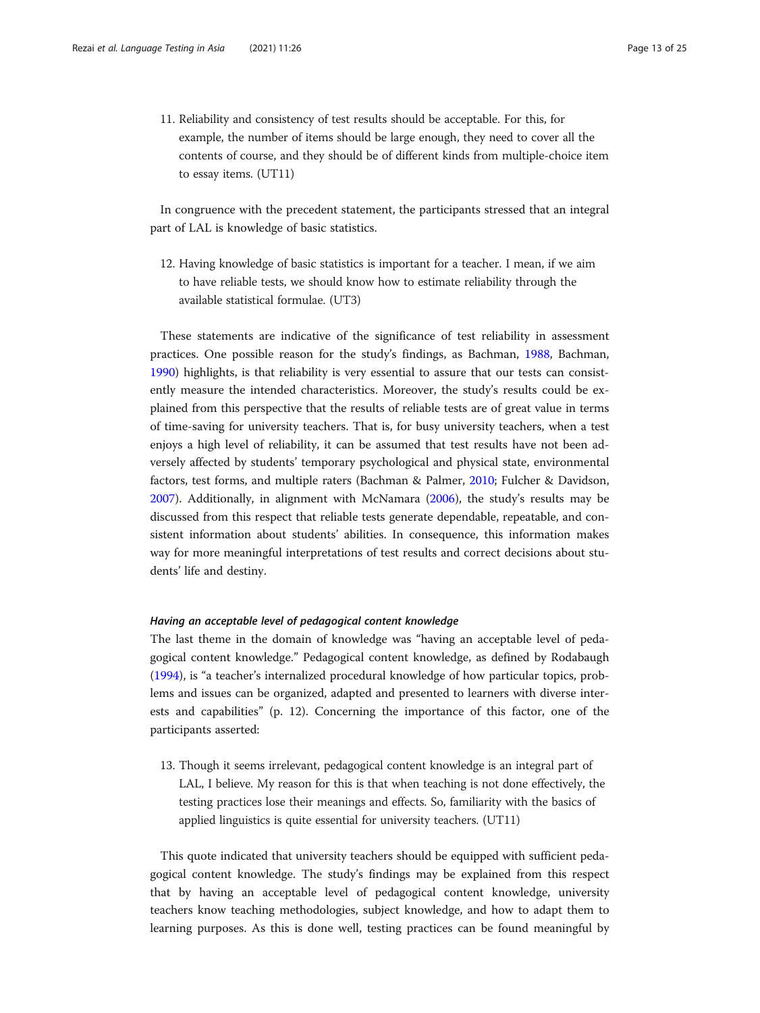11. Reliability and consistency of test results should be acceptable. For this, for example, the number of items should be large enough, they need to cover all the contents of course, and they should be of different kinds from multiple-choice item to essay items. (UT11)

In congruence with the precedent statement, the participants stressed that an integral part of LAL is knowledge of basic statistics.

12. Having knowledge of basic statistics is important for a teacher. I mean, if we aim to have reliable tests, we should know how to estimate reliability through the available statistical formulae. (UT3)

These statements are indicative of the significance of test reliability in assessment practices. One possible reason for the study's findings, as Bachman, [1988](#page-21-0), Bachman, [1990](#page-21-0)) highlights, is that reliability is very essential to assure that our tests can consistently measure the intended characteristics. Moreover, the study's results could be explained from this perspective that the results of reliable tests are of great value in terms of time-saving for university teachers. That is, for busy university teachers, when a test enjoys a high level of reliability, it can be assumed that test results have not been adversely affected by students' temporary psychological and physical state, environmental factors, test forms, and multiple raters (Bachman & Palmer, [2010;](#page-21-0) Fulcher & Davidson, [2007](#page-22-0)). Additionally, in alignment with McNamara [\(2006\)](#page-23-0), the study's results may be discussed from this respect that reliable tests generate dependable, repeatable, and consistent information about students' abilities. In consequence, this information makes way for more meaningful interpretations of test results and correct decisions about students' life and destiny.

# Having an acceptable level of pedagogical content knowledge

The last theme in the domain of knowledge was "having an acceptable level of pedagogical content knowledge." Pedagogical content knowledge, as defined by Rodabaugh ([1994](#page-23-0)), is "a teacher's internalized procedural knowledge of how particular topics, problems and issues can be organized, adapted and presented to learners with diverse interests and capabilities" (p. 12). Concerning the importance of this factor, one of the participants asserted:

13. Though it seems irrelevant, pedagogical content knowledge is an integral part of LAL, I believe. My reason for this is that when teaching is not done effectively, the testing practices lose their meanings and effects. So, familiarity with the basics of applied linguistics is quite essential for university teachers. (UT11)

This quote indicated that university teachers should be equipped with sufficient pedagogical content knowledge. The study's findings may be explained from this respect that by having an acceptable level of pedagogical content knowledge, university teachers know teaching methodologies, subject knowledge, and how to adapt them to learning purposes. As this is done well, testing practices can be found meaningful by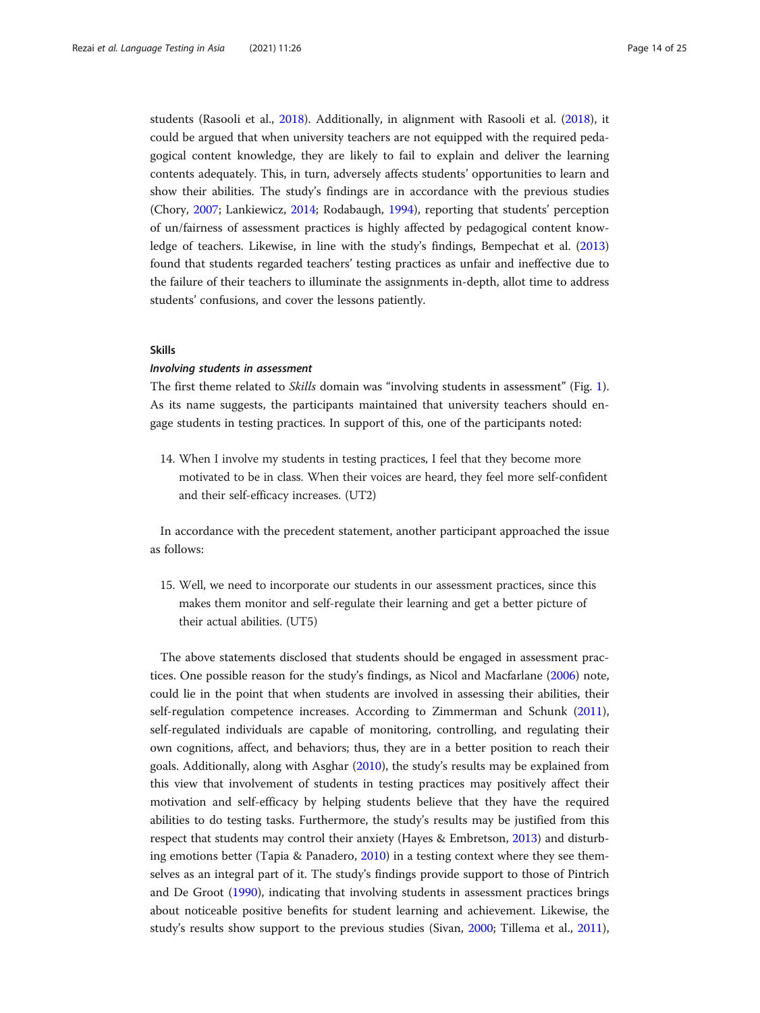students (Rasooli et al., [2018\)](#page-23-0). Additionally, in alignment with Rasooli et al. [\(2018\)](#page-23-0), it could be argued that when university teachers are not equipped with the required pedagogical content knowledge, they are likely to fail to explain and deliver the learning contents adequately. This, in turn, adversely affects students' opportunities to learn and show their abilities. The study's findings are in accordance with the previous studies (Chory, [2007](#page-22-0); Lankiewicz, [2014;](#page-23-0) Rodabaugh, [1994](#page-23-0)), reporting that students' perception of un/fairness of assessment practices is highly affected by pedagogical content knowledge of teachers. Likewise, in line with the study's findings, Bempechat et al. ([2013](#page-21-0)) found that students regarded teachers' testing practices as unfair and ineffective due to the failure of their teachers to illuminate the assignments in-depth, allot time to address students' confusions, and cover the lessons patiently.

# Skills

#### Involving students in assessment

The first theme related to Skills domain was "involving students in assessment" (Fig. [1](#page-8-0)). As its name suggests, the participants maintained that university teachers should engage students in testing practices. In support of this, one of the participants noted:

14. When I involve my students in testing practices, I feel that they become more motivated to be in class. When their voices are heard, they feel more self-confident and their self-efficacy increases. (UT2)

In accordance with the precedent statement, another participant approached the issue as follows:

15. Well, we need to incorporate our students in our assessment practices, since this makes them monitor and self-regulate their learning and get a better picture of their actual abilities. (UT5)

The above statements disclosed that students should be engaged in assessment practices. One possible reason for the study's findings, as Nicol and Macfarlane ([2006](#page-23-0)) note, could lie in the point that when students are involved in assessing their abilities, their self-regulation competence increases. According to Zimmerman and Schunk ([2011](#page-24-0)), self-regulated individuals are capable of monitoring, controlling, and regulating their own cognitions, affect, and behaviors; thus, they are in a better position to reach their goals. Additionally, along with Asghar [\(2010](#page-21-0)), the study's results may be explained from this view that involvement of students in testing practices may positively affect their motivation and self-efficacy by helping students believe that they have the required abilities to do testing tasks. Furthermore, the study's results may be justified from this respect that students may control their anxiety (Hayes & Embretson, [2013](#page-22-0)) and disturbing emotions better (Tapia & Panadero, [2010](#page-24-0)) in a testing context where they see themselves as an integral part of it. The study's findings provide support to those of Pintrich and De Groot [\(1990\)](#page-23-0), indicating that involving students in assessment practices brings about noticeable positive benefits for student learning and achievement. Likewise, the study's results show support to the previous studies (Sivan, [2000;](#page-24-0) Tillema et al., [2011](#page-24-0)),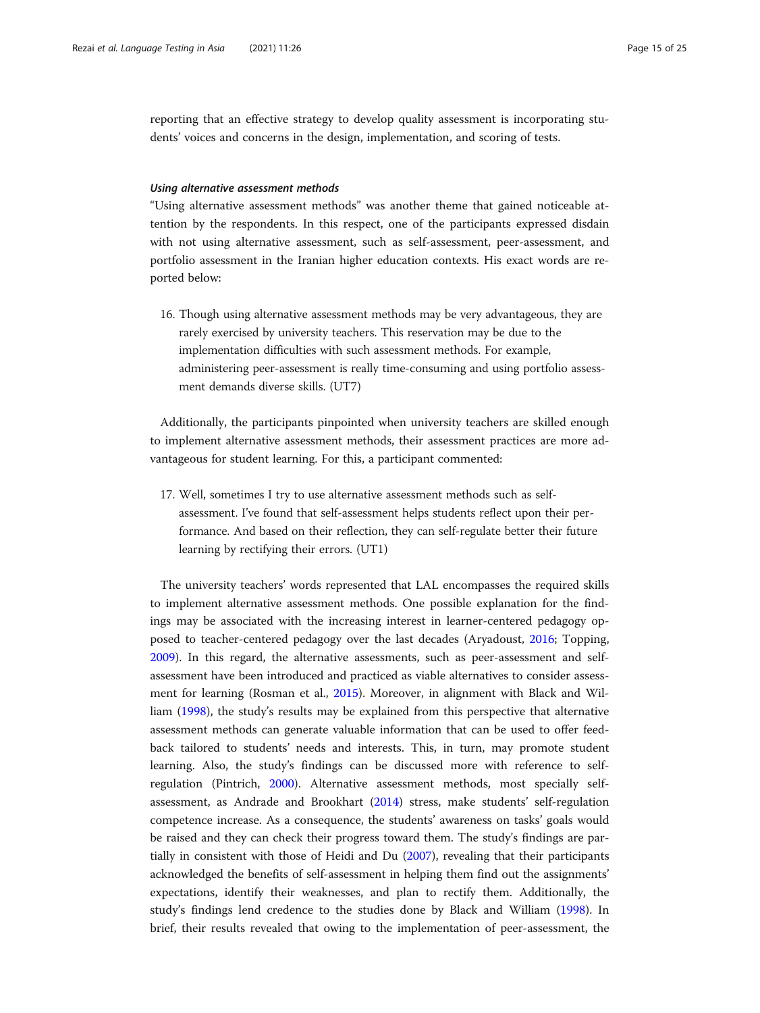reporting that an effective strategy to develop quality assessment is incorporating students' voices and concerns in the design, implementation, and scoring of tests.

#### Using alternative assessment methods

"Using alternative assessment methods" was another theme that gained noticeable attention by the respondents. In this respect, one of the participants expressed disdain with not using alternative assessment, such as self-assessment, peer-assessment, and portfolio assessment in the Iranian higher education contexts. His exact words are reported below:

16. Though using alternative assessment methods may be very advantageous, they are rarely exercised by university teachers. This reservation may be due to the implementation difficulties with such assessment methods. For example, administering peer-assessment is really time-consuming and using portfolio assessment demands diverse skills. (UT7)

Additionally, the participants pinpointed when university teachers are skilled enough to implement alternative assessment methods, their assessment practices are more advantageous for student learning. For this, a participant commented:

17. Well, sometimes I try to use alternative assessment methods such as selfassessment. I've found that self-assessment helps students reflect upon their performance. And based on their reflection, they can self-regulate better their future learning by rectifying their errors. (UT1)

The university teachers' words represented that LAL encompasses the required skills to implement alternative assessment methods. One possible explanation for the findings may be associated with the increasing interest in learner-centered pedagogy opposed to teacher-centered pedagogy over the last decades (Aryadoust, [2016;](#page-21-0) Topping, [2009](#page-24-0)). In this regard, the alternative assessments, such as peer-assessment and selfassessment have been introduced and practiced as viable alternatives to consider assessment for learning (Rosman et al., [2015](#page-23-0)). Moreover, in alignment with Black and William ([1998\)](#page-21-0), the study's results may be explained from this perspective that alternative assessment methods can generate valuable information that can be used to offer feedback tailored to students' needs and interests. This, in turn, may promote student learning. Also, the study's findings can be discussed more with reference to selfregulation (Pintrich, [2000\)](#page-23-0). Alternative assessment methods, most specially selfassessment, as Andrade and Brookhart [\(2014\)](#page-21-0) stress, make students' self-regulation competence increase. As a consequence, the students' awareness on tasks' goals would be raised and they can check their progress toward them. The study's findings are partially in consistent with those of Heidi and Du ([2007](#page-22-0)), revealing that their participants acknowledged the benefits of self-assessment in helping them find out the assignments' expectations, identify their weaknesses, and plan to rectify them. Additionally, the study's findings lend credence to the studies done by Black and William [\(1998\)](#page-21-0). In brief, their results revealed that owing to the implementation of peer-assessment, the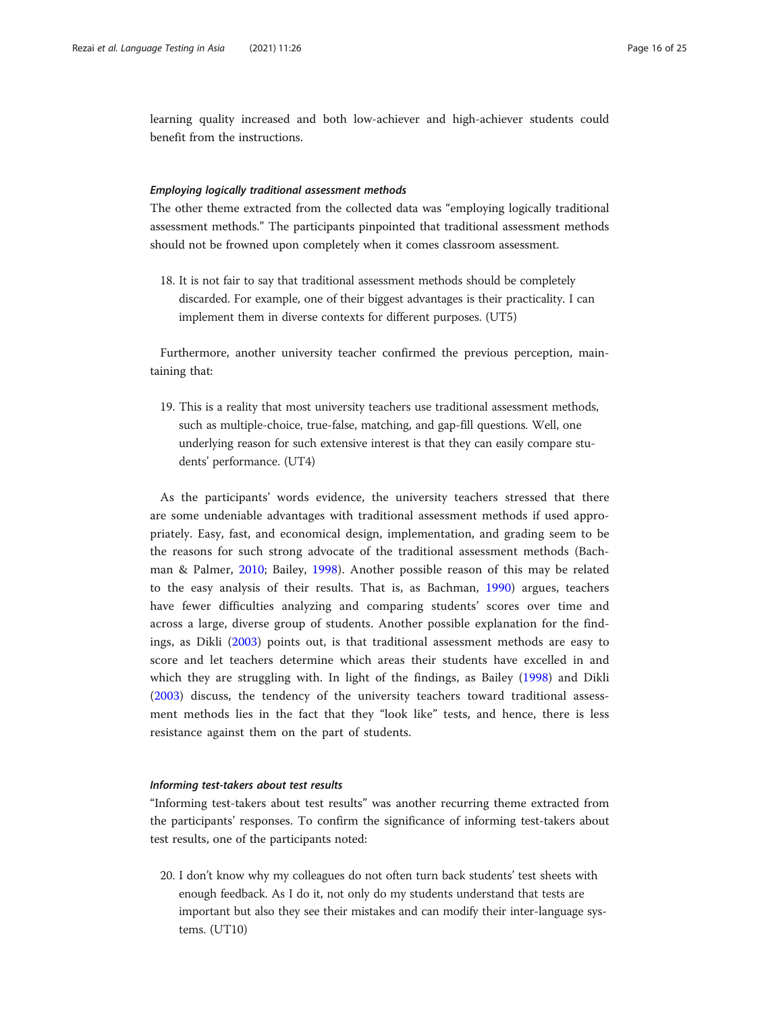learning quality increased and both low-achiever and high-achiever students could benefit from the instructions.

#### Employing logically traditional assessment methods

The other theme extracted from the collected data was "employing logically traditional assessment methods." The participants pinpointed that traditional assessment methods should not be frowned upon completely when it comes classroom assessment.

18. It is not fair to say that traditional assessment methods should be completely discarded. For example, one of their biggest advantages is their practicality. I can implement them in diverse contexts for different purposes. (UT5)

Furthermore, another university teacher confirmed the previous perception, maintaining that:

19. This is a reality that most university teachers use traditional assessment methods, such as multiple-choice, true-false, matching, and gap-fill questions. Well, one underlying reason for such extensive interest is that they can easily compare students' performance. (UT4)

As the participants' words evidence, the university teachers stressed that there are some undeniable advantages with traditional assessment methods if used appropriately. Easy, fast, and economical design, implementation, and grading seem to be the reasons for such strong advocate of the traditional assessment methods (Bachman & Palmer, [2010](#page-21-0); Bailey, [1998\)](#page-21-0). Another possible reason of this may be related to the easy analysis of their results. That is, as Bachman, [1990\)](#page-21-0) argues, teachers have fewer difficulties analyzing and comparing students' scores over time and across a large, diverse group of students. Another possible explanation for the findings, as Dikli ([2003\)](#page-22-0) points out, is that traditional assessment methods are easy to score and let teachers determine which areas their students have excelled in and which they are struggling with. In light of the findings, as Bailey ([1998\)](#page-21-0) and Dikli ([2003\)](#page-22-0) discuss, the tendency of the university teachers toward traditional assessment methods lies in the fact that they "look like" tests, and hence, there is less resistance against them on the part of students.

#### Informing test-takers about test results

"Informing test-takers about test results" was another recurring theme extracted from the participants' responses. To confirm the significance of informing test-takers about test results, one of the participants noted:

20. I don't know why my colleagues do not often turn back students' test sheets with enough feedback. As I do it, not only do my students understand that tests are important but also they see their mistakes and can modify their inter-language systems. (UT10)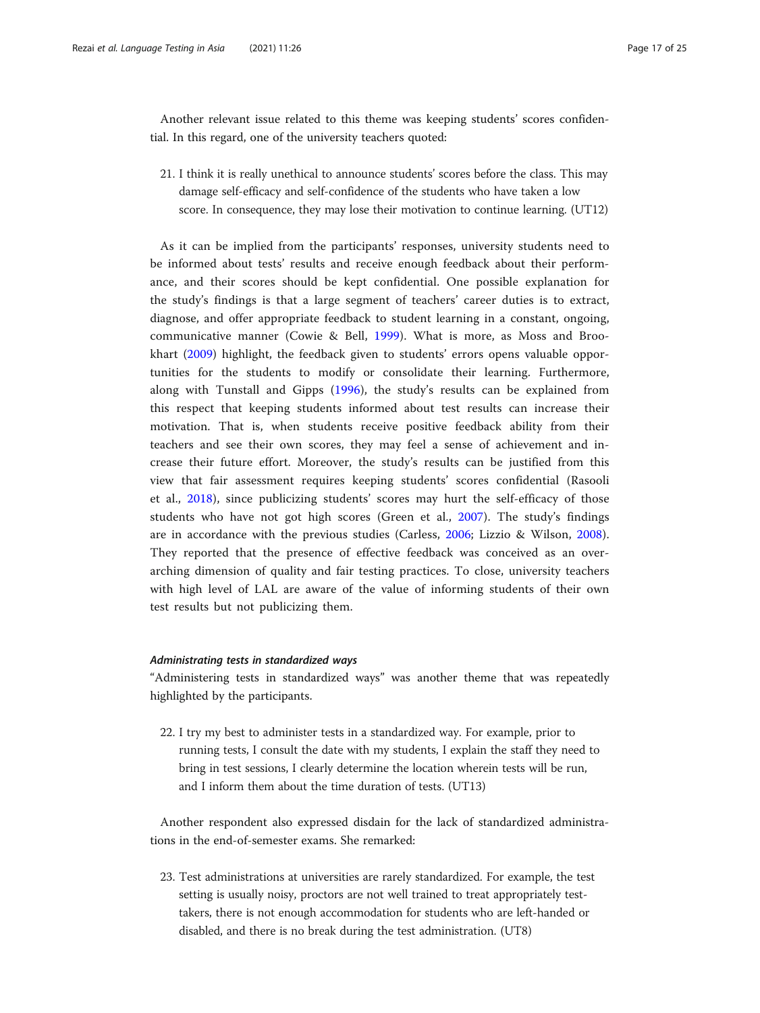Another relevant issue related to this theme was keeping students' scores confidential. In this regard, one of the university teachers quoted:

21. I think it is really unethical to announce students' scores before the class. This may damage self-efficacy and self-confidence of the students who have taken a low score. In consequence, they may lose their motivation to continue learning. (UT12)

As it can be implied from the participants' responses, university students need to be informed about tests' results and receive enough feedback about their performance, and their scores should be kept confidential. One possible explanation for the study's findings is that a large segment of teachers' career duties is to extract, diagnose, and offer appropriate feedback to student learning in a constant, ongoing, communicative manner (Cowie & Bell, [1999](#page-22-0)). What is more, as Moss and Brookhart ([2009\)](#page-23-0) highlight, the feedback given to students' errors opens valuable opportunities for the students to modify or consolidate their learning. Furthermore, along with Tunstall and Gipps [\(1996](#page-24-0)), the study's results can be explained from this respect that keeping students informed about test results can increase their motivation. That is, when students receive positive feedback ability from their teachers and see their own scores, they may feel a sense of achievement and increase their future effort. Moreover, the study's results can be justified from this view that fair assessment requires keeping students' scores confidential (Rasooli et al., [2018\)](#page-23-0), since publicizing students' scores may hurt the self-efficacy of those students who have not got high scores (Green et al., [2007](#page-22-0)). The study's findings are in accordance with the previous studies (Carless, [2006](#page-22-0); Lizzio & Wilson, [2008](#page-23-0)). They reported that the presence of effective feedback was conceived as an overarching dimension of quality and fair testing practices. To close, university teachers with high level of LAL are aware of the value of informing students of their own test results but not publicizing them.

#### Administrating tests in standardized ways

"Administering tests in standardized ways" was another theme that was repeatedly highlighted by the participants.

22. I try my best to administer tests in a standardized way. For example, prior to running tests, I consult the date with my students, I explain the staff they need to bring in test sessions, I clearly determine the location wherein tests will be run, and I inform them about the time duration of tests. (UT13)

Another respondent also expressed disdain for the lack of standardized administrations in the end-of-semester exams. She remarked:

23. Test administrations at universities are rarely standardized. For example, the test setting is usually noisy, proctors are not well trained to treat appropriately testtakers, there is not enough accommodation for students who are left-handed or disabled, and there is no break during the test administration. (UT8)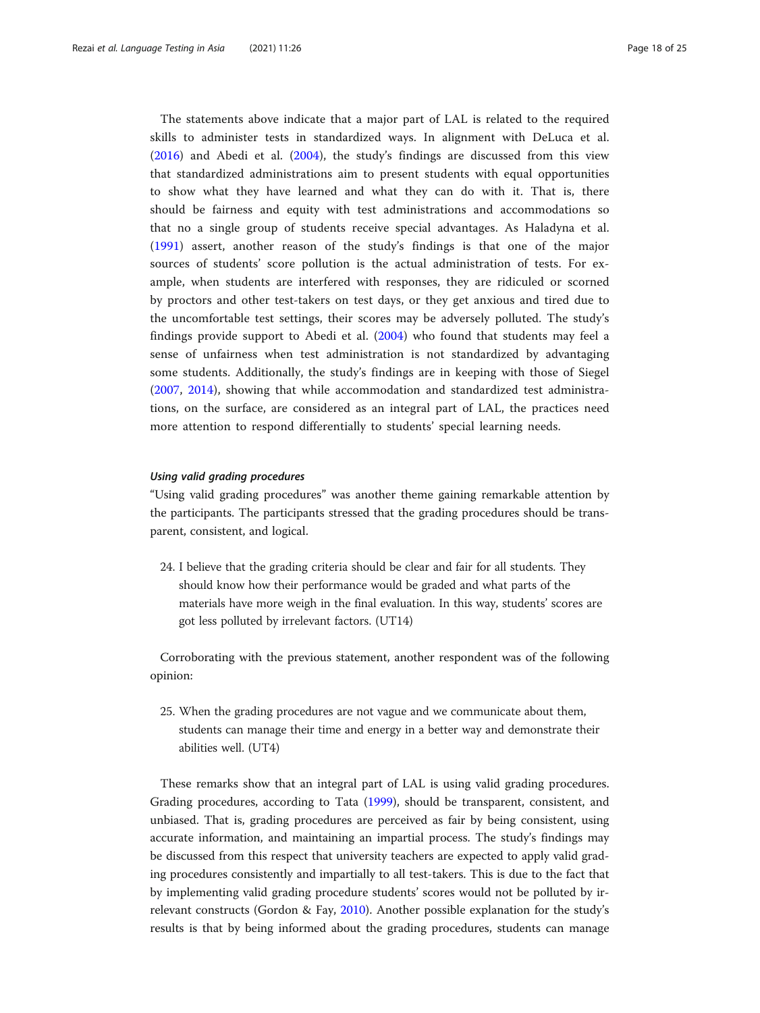The statements above indicate that a major part of LAL is related to the required skills to administer tests in standardized ways. In alignment with DeLuca et al. ([2016\)](#page-22-0) and Abedi et al. [\(2004](#page-21-0)), the study's findings are discussed from this view that standardized administrations aim to present students with equal opportunities to show what they have learned and what they can do with it. That is, there should be fairness and equity with test administrations and accommodations so that no a single group of students receive special advantages. As Haladyna et al. ([1991\)](#page-22-0) assert, another reason of the study's findings is that one of the major sources of students' score pollution is the actual administration of tests. For example, when students are interfered with responses, they are ridiculed or scorned by proctors and other test-takers on test days, or they get anxious and tired due to the uncomfortable test settings, their scores may be adversely polluted. The study's findings provide support to Abedi et al. [\(2004](#page-21-0)) who found that students may feel a sense of unfairness when test administration is not standardized by advantaging some students. Additionally, the study's findings are in keeping with those of Siegel ([2007,](#page-24-0) [2014](#page-24-0)), showing that while accommodation and standardized test administrations, on the surface, are considered as an integral part of LAL, the practices need more attention to respond differentially to students' special learning needs.

### Using valid grading procedures

"Using valid grading procedures" was another theme gaining remarkable attention by the participants. The participants stressed that the grading procedures should be transparent, consistent, and logical.

24. I believe that the grading criteria should be clear and fair for all students. They should know how their performance would be graded and what parts of the materials have more weigh in the final evaluation. In this way, students' scores are got less polluted by irrelevant factors. (UT14)

Corroborating with the previous statement, another respondent was of the following opinion:

25. When the grading procedures are not vague and we communicate about them, students can manage their time and energy in a better way and demonstrate their abilities well. (UT4)

These remarks show that an integral part of LAL is using valid grading procedures. Grading procedures, according to Tata [\(1999\)](#page-24-0), should be transparent, consistent, and unbiased. That is, grading procedures are perceived as fair by being consistent, using accurate information, and maintaining an impartial process. The study's findings may be discussed from this respect that university teachers are expected to apply valid grading procedures consistently and impartially to all test-takers. This is due to the fact that by implementing valid grading procedure students' scores would not be polluted by irrelevant constructs (Gordon & Fay, [2010\)](#page-22-0). Another possible explanation for the study's results is that by being informed about the grading procedures, students can manage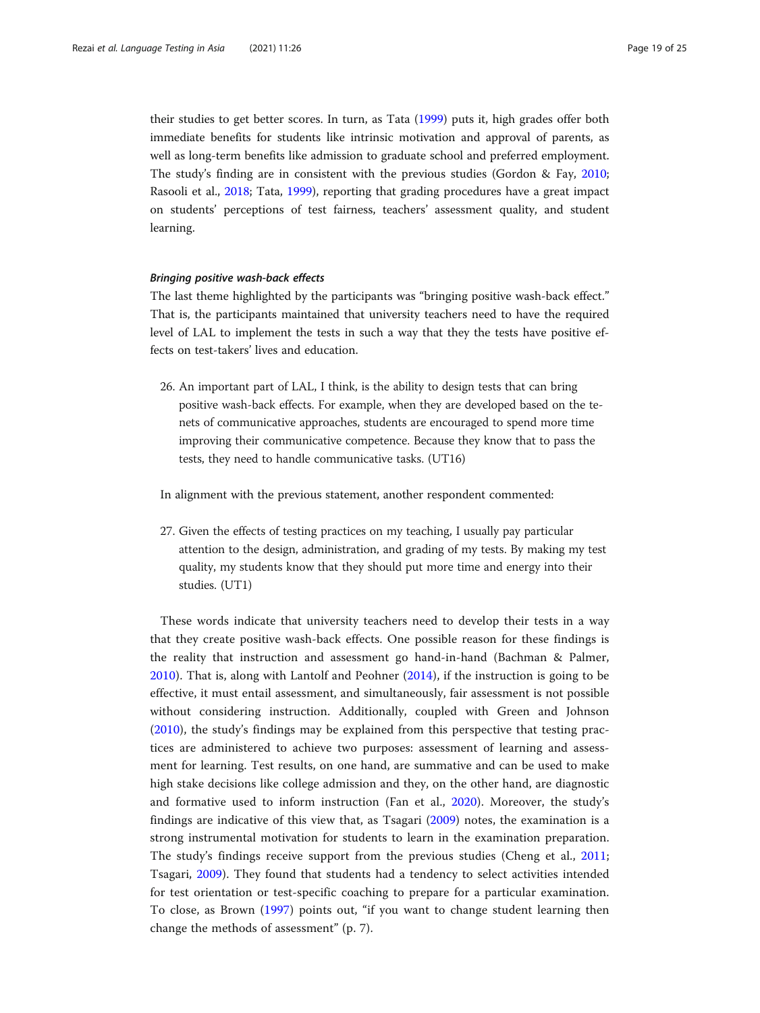their studies to get better scores. In turn, as Tata [\(1999\)](#page-24-0) puts it, high grades offer both immediate benefits for students like intrinsic motivation and approval of parents, as well as long-term benefits like admission to graduate school and preferred employment. The study's finding are in consistent with the previous studies (Gordon & Fay, [2010](#page-22-0); Rasooli et al., [2018;](#page-23-0) Tata, [1999\)](#page-24-0), reporting that grading procedures have a great impact on students' perceptions of test fairness, teachers' assessment quality, and student learning.

# Bringing positive wash-back effects

The last theme highlighted by the participants was "bringing positive wash-back effect." That is, the participants maintained that university teachers need to have the required level of LAL to implement the tests in such a way that they the tests have positive effects on test-takers' lives and education.

26. An important part of LAL, I think, is the ability to design tests that can bring positive wash-back effects. For example, when they are developed based on the tenets of communicative approaches, students are encouraged to spend more time improving their communicative competence. Because they know that to pass the tests, they need to handle communicative tasks. (UT16)

In alignment with the previous statement, another respondent commented:

27. Given the effects of testing practices on my teaching, I usually pay particular attention to the design, administration, and grading of my tests. By making my test quality, my students know that they should put more time and energy into their studies. (UT1)

These words indicate that university teachers need to develop their tests in a way that they create positive wash-back effects. One possible reason for these findings is the reality that instruction and assessment go hand-in-hand (Bachman & Palmer, [2010\)](#page-21-0). That is, along with Lantolf and Peohner [\(2014](#page-23-0)), if the instruction is going to be effective, it must entail assessment, and simultaneously, fair assessment is not possible without considering instruction. Additionally, coupled with Green and Johnson ([2010\)](#page-22-0), the study's findings may be explained from this perspective that testing practices are administered to achieve two purposes: assessment of learning and assessment for learning. Test results, on one hand, are summative and can be used to make high stake decisions like college admission and they, on the other hand, are diagnostic and formative used to inform instruction (Fan et al., [2020\)](#page-22-0). Moreover, the study's findings are indicative of this view that, as Tsagari [\(2009](#page-24-0)) notes, the examination is a strong instrumental motivation for students to learn in the examination preparation. The study's findings receive support from the previous studies (Cheng et al., [2011](#page-22-0); Tsagari, [2009](#page-24-0)). They found that students had a tendency to select activities intended for test orientation or test-specific coaching to prepare for a particular examination. To close, as Brown [\(1997](#page-21-0)) points out, "if you want to change student learning then change the methods of assessment" (p. 7).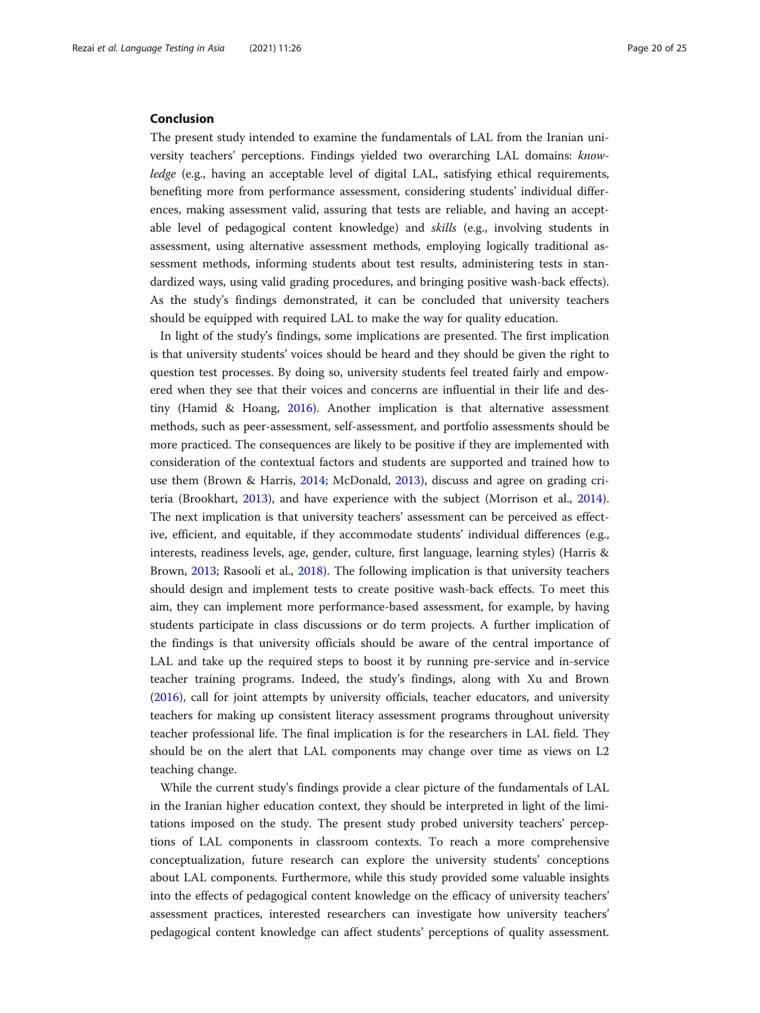#### Conclusion

The present study intended to examine the fundamentals of LAL from the Iranian university teachers' perceptions. Findings yielded two overarching LAL domains: knowledge (e.g., having an acceptable level of digital LAL, satisfying ethical requirements, benefiting more from performance assessment, considering students' individual differences, making assessment valid, assuring that tests are reliable, and having an acceptable level of pedagogical content knowledge) and skills (e.g., involving students in assessment, using alternative assessment methods, employing logically traditional assessment methods, informing students about test results, administering tests in standardized ways, using valid grading procedures, and bringing positive wash-back effects). As the study's findings demonstrated, it can be concluded that university teachers should be equipped with required LAL to make the way for quality education.

In light of the study's findings, some implications are presented. The first implication is that university students' voices should be heard and they should be given the right to question test processes. By doing so, university students feel treated fairly and empowered when they see that their voices and concerns are influential in their life and destiny (Hamid & Hoang, [2016](#page-22-0)). Another implication is that alternative assessment methods, such as peer-assessment, self-assessment, and portfolio assessments should be more practiced. The consequences are likely to be positive if they are implemented with consideration of the contextual factors and students are supported and trained how to use them (Brown & Harris, [2014](#page-21-0); McDonald, [2013\)](#page-23-0), discuss and agree on grading criteria (Brookhart, [2013](#page-21-0)), and have experience with the subject (Morrison et al., [2014](#page-23-0)). The next implication is that university teachers' assessment can be perceived as effective, efficient, and equitable, if they accommodate students' individual differences (e.g., interests, readiness levels, age, gender, culture, first language, learning styles) (Harris & Brown, [2013;](#page-22-0) Rasooli et al., [2018](#page-23-0)). The following implication is that university teachers should design and implement tests to create positive wash-back effects. To meet this aim, they can implement more performance-based assessment, for example, by having students participate in class discussions or do term projects. A further implication of the findings is that university officials should be aware of the central importance of LAL and take up the required steps to boost it by running pre-service and in-service teacher training programs. Indeed, the study's findings, along with Xu and Brown ([2016](#page-24-0)), call for joint attempts by university officials, teacher educators, and university teachers for making up consistent literacy assessment programs throughout university teacher professional life. The final implication is for the researchers in LAL field. They should be on the alert that LAL components may change over time as views on L2 teaching change.

While the current study's findings provide a clear picture of the fundamentals of LAL in the Iranian higher education context, they should be interpreted in light of the limitations imposed on the study. The present study probed university teachers' perceptions of LAL components in classroom contexts. To reach a more comprehensive conceptualization, future research can explore the university students' conceptions about LAL components. Furthermore, while this study provided some valuable insights into the effects of pedagogical content knowledge on the efficacy of university teachers' assessment practices, interested researchers can investigate how university teachers' pedagogical content knowledge can affect students' perceptions of quality assessment.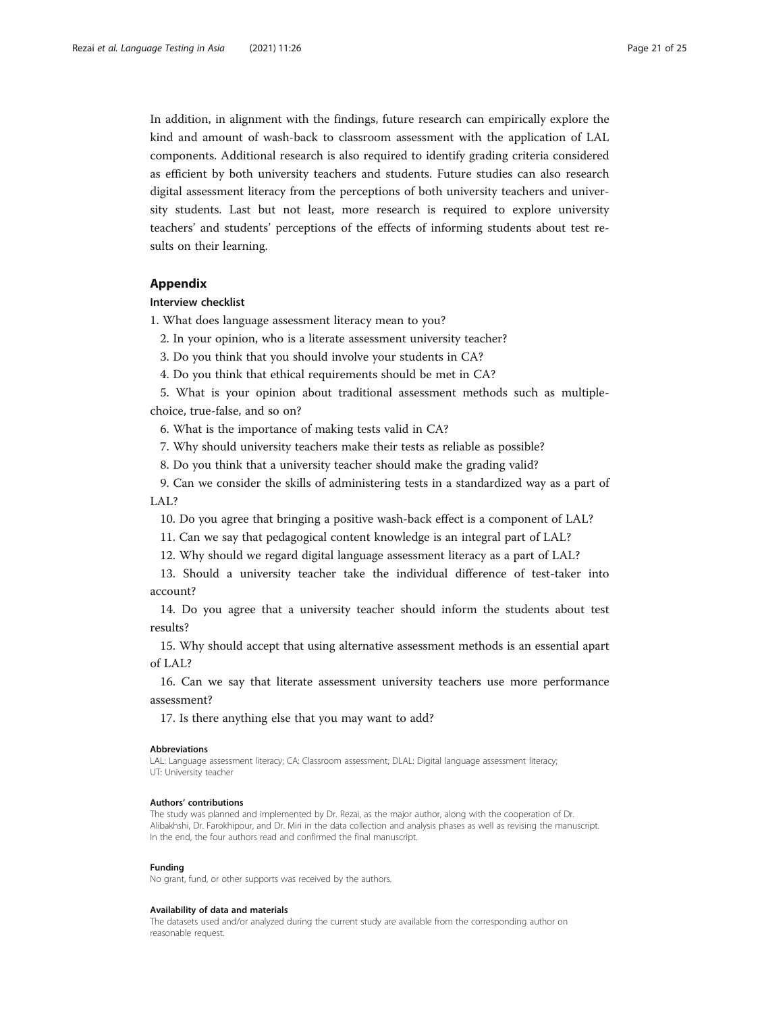In addition, in alignment with the findings, future research can empirically explore the kind and amount of wash-back to classroom assessment with the application of LAL components. Additional research is also required to identify grading criteria considered as efficient by both university teachers and students. Future studies can also research digital assessment literacy from the perceptions of both university teachers and university students. Last but not least, more research is required to explore university teachers' and students' perceptions of the effects of informing students about test results on their learning.

# Appendix

# Interview checklist

1. What does language assessment literacy mean to you?

2. In your opinion, who is a literate assessment university teacher?

- 3. Do you think that you should involve your students in CA?
- 4. Do you think that ethical requirements should be met in CA?

5. What is your opinion about traditional assessment methods such as multiplechoice, true-false, and so on?

6. What is the importance of making tests valid in CA?

7. Why should university teachers make their tests as reliable as possible?

8. Do you think that a university teacher should make the grading valid?

9. Can we consider the skills of administering tests in a standardized way as a part of LAL?

10. Do you agree that bringing a positive wash-back effect is a component of LAL?

11. Can we say that pedagogical content knowledge is an integral part of LAL?

12. Why should we regard digital language assessment literacy as a part of LAL?

13. Should a university teacher take the individual difference of test-taker into account?

14. Do you agree that a university teacher should inform the students about test results?

15. Why should accept that using alternative assessment methods is an essential apart of LAL?

16. Can we say that literate assessment university teachers use more performance assessment?

17. Is there anything else that you may want to add?

#### Abbreviations

LAL: Language assessment literacy; CA: Classroom assessment; DLAL: Digital language assessment literacy; UT: University teacher

#### Authors' contributions

The study was planned and implemented by Dr. Rezai, as the major author, along with the cooperation of Dr. Alibakhshi, Dr. Farokhipour, and Dr. Miri in the data collection and analysis phases as well as revising the manuscript. In the end, the four authors read and confirmed the final manuscript.

#### Funding

No grant, fund, or other supports was received by the authors.

#### Availability of data and materials

The datasets used and/or analyzed during the current study are available from the corresponding author on reasonable request.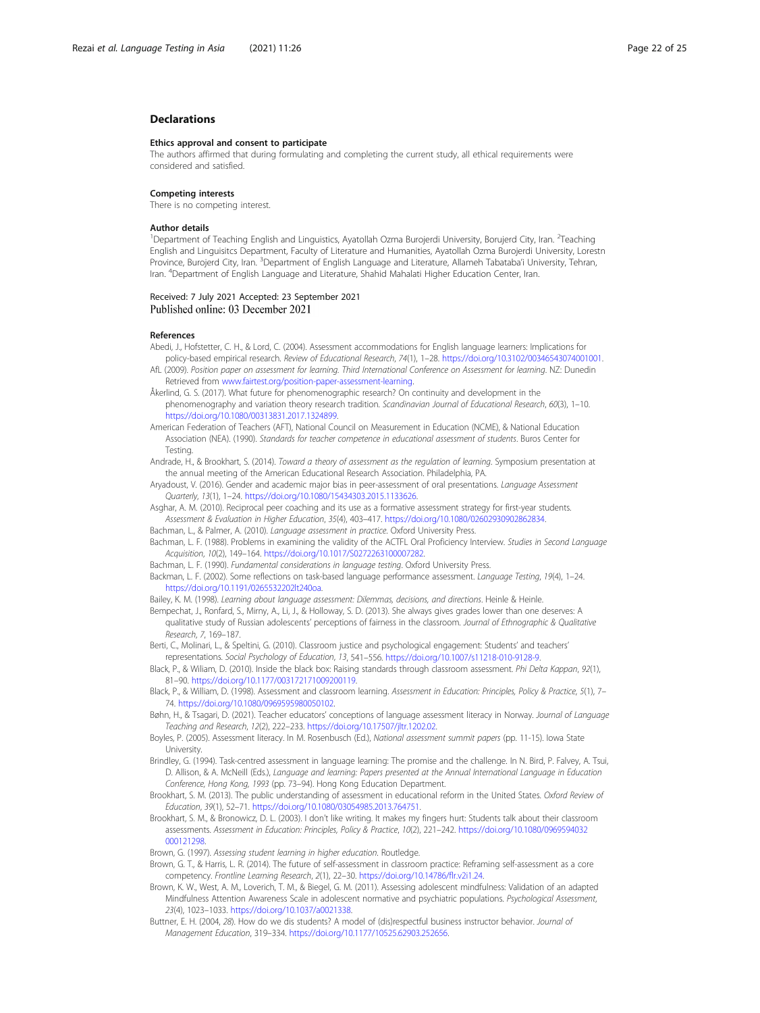#### <span id="page-21-0"></span>Declarations

#### Ethics approval and consent to participate

The authors affirmed that during formulating and completing the current study, all ethical requirements were considered and satisfied.

#### Competing interests

There is no competing interest.

#### Author details

<sup>1</sup>Department of Teaching English and Linguistics, Ayatollah Ozma Burojerdi University, Borujerd City, Iran. <sup>2</sup>Teaching English and Linguisitcs Department, Faculty of Literature and Humanities, Ayatollah Ozma Burojerdi University, Lorestn Province, Burojerd City, Iran. <sup>3</sup>Department of English Language and Literature, Allameh Tabataba'i University, Tehran, Iran. <sup>4</sup>Department of English Language and Literature, Shahid Mahalati Higher Education Center, Iran.

#### Received: 7 July 2021 Accepted: 23 September 2021 Published online: 03 December 2021

#### References

- Abedi, J., Hofstetter, C. H., & Lord, C. (2004). Assessment accommodations for English language learners: Implications for policy-based empirical research. Review of Educational Research, 74(1), 1–28. [https://doi.org/10.3102/00346543074001001.](https://doi.org/10.3102/00346543074001001)
- AfL (2009). Position paper on assessment for learning. Third International Conference on Assessment for learning. NZ: Dunedin Retrieved from [www.fairtest.org/position-paper-assessment-learning.](https://www.fairtest.org/position-paper-assessment-learning)
- Åkerlind, G. S. (2017). What future for phenomenographic research? On continuity and development in the phenomenography and variation theory research tradition. Scandinavian Journal of Educational Research, 60(3), 1-10. <https://doi.org/10.1080/00313831.2017.1324899>.
- American Federation of Teachers (AFT), National Council on Measurement in Education (NCME), & National Education Association (NEA). (1990). Standards for teacher competence in educational assessment of students. Buros Center for **Testing**
- Andrade, H., & Brookhart, S. (2014). Toward a theory of assessment as the regulation of learning. Symposium presentation at the annual meeting of the American Educational Research Association. Philadelphia, PA.
- Aryadoust, V. (2016). Gender and academic major bias in peer-assessment of oral presentations. Language Assessment Quarterly, 13(1), 1–24. <https://doi.org/10.1080/15434303.2015.1133626>.
- Asghar, A. M. (2010). Reciprocal peer coaching and its use as a formative assessment strategy for first-year students. Assessment & Evaluation in Higher Education, 35(4), 403–417. <https://doi.org/10.1080/02602930902862834>.
- Bachman, L., & Palmer, A. (2010). Language assessment in practice. Oxford University Press.
- Bachman, L. F. (1988). Problems in examining the validity of the ACTFL Oral Proficiency Interview. Studies in Second Language Acquisition, 10(2), 149–164. <https://doi.org/10.1017/S0272263100007282>.
- Bachman, L. F. (1990). Fundamental considerations in language testing. Oxford University Press.
- Backman, L. F. (2002). Some reflections on task-based language performance assessment. Language Testing, 19(4), 1–24. [https://doi.org/10.1191/0265532202lt240oa.](https://doi.org/10.1191/0265532202lt240oa)
- Bailey, K. M. (1998). Learning about language assessment: Dilemmas, decisions, and directions. Heinle & Heinle.
- Bempechat, J., Ronfard, S., Mirny, A., Li, J., & Holloway, S. D. (2013). She always gives grades lower than one deserves: A qualitative study of Russian adolescents' perceptions of fairness in the classroom. Journal of Ethnographic & Qualitative Research, 7, 169–187.
- Berti, C., Molinari, L., & Speltini, G. (2010). Classroom justice and psychological engagement: Students' and teachers' representations. Social Psychology of Education, 13, 541–556. [https://doi.org/10.1007/s11218-010-9128-9.](https://doi.org/10.1007/s11218-010-9128-9)
- Black, P., & Wiliam, D. (2010). Inside the black box: Raising standards through classroom assessment. Phi Delta Kappan, 92(1), 81–90. [https://doi.org/10.1177/003172171009200119.](https://doi.org/10.1177/003172171009200119)
- Black, P., & William, D. (1998). Assessment and classroom learning. Assessment in Education: Principles, Policy & Practice, 5(1), 7– 74. [https://doi.org/10.1080/0969595980050102.](https://doi.org/10.1080/0969595980050102)
- Bøhn, H., & Tsagari, D. (2021). Teacher educators' conceptions of language assessment literacy in Norway. Journal of Language Teaching and Research, 12(2), 222–233. [https://doi.org/10.17507/jltr.1202.02.](https://doi.org/10.17507/jltr.1202.02)
- Boyles, P. (2005). Assessment literacy. In M. Rosenbusch (Ed.), National assessment summit papers (pp. 11-15). Iowa State University.
- Brindley, G. (1994). Task-centred assessment in language learning: The promise and the challenge. In N. Bird, P. Falvey, A. Tsui, D. Allison, & A. McNeill (Eds.), Language and learning: Papers presented at the Annual International Language in Education Conference, Hong Kong, 1993 (pp. 73–94). Hong Kong Education Department.
- Brookhart, S. M. (2013). The public understanding of assessment in educational reform in the United States. Oxford Review of Education, 39(1), 52–71. [https://doi.org/10.1080/03054985.2013.764751.](https://doi.org/10.1080/03054985.2013.764751)
- Brookhart, S. M., & Bronowicz, D. L. (2003). I don't like writing. It makes my fingers hurt: Students talk about their classroom assessments. Assessment in Education: Principles, Policy & Practice, 10(2), 221–242. [https://doi.org/10.1080/0969594032](https://doi.org/10.1080/0969594032000121298) [000121298](https://doi.org/10.1080/0969594032000121298).
- Brown, G. (1997). Assessing student learning in higher education. Routledge.
- Brown, G. T., & Harris, L. R. (2014). The future of self-assessment in classroom practice: Reframing self-assessment as a core competency. Frontline Learning Research, 2(1), 22–30. <https://doi.org/10.14786/flr.v2i1.24>.
- Brown, K. W., West, A. M., Loverich, T. M., & Biegel, G. M. (2011). Assessing adolescent mindfulness: Validation of an adapted Mindfulness Attention Awareness Scale in adolescent normative and psychiatric populations. Psychological Assessment, 23(4), 1023–1033. <https://doi.org/10.1037/a0021338>.
- Buttner, E. H. (2004, 28). How do we dis students? A model of (dis)respectful business instructor behavior. Journal of Management Education, 319–334. [https://doi.org/10.1177/10525.62903.252656.](https://doi.org/10.1177/10525.62903.252656)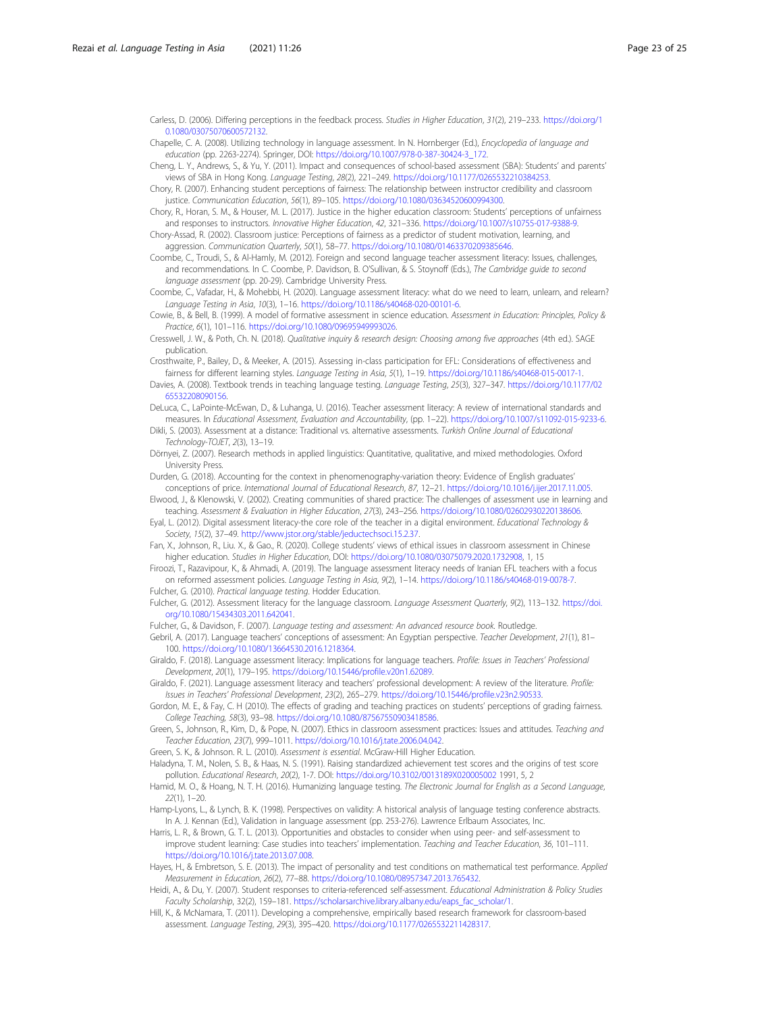<span id="page-22-0"></span>Carless, D. (2006). Differing perceptions in the feedback process. Studies in Higher Education, 31(2), 219–233. [https://doi.org/1](https://doi.org/10.1080/03075070600572132) [0.1080/03075070600572132](https://doi.org/10.1080/03075070600572132).

Chapelle, C. A. (2008). Utilizing technology in language assessment. In N. Hornberger (Ed.), Encyclopedia of language and education (pp. 2263-2274). Springer, DOI: [https://doi.org/10.1007/978-0-387-30424-3\\_172](https://doi.org/10.1007/978-0-387-30424-3_172).

Cheng, L. Y., Andrews, S., & Yu, Y. (2011). Impact and consequences of school-based assessment (SBA): Students' and parents' views of SBA in Hong Kong. Language Testing, 28(2), 221–249. <https://doi.org/10.1177/0265532210384253>.

Chory, R. (2007). Enhancing student perceptions of fairness: The relationship between instructor credibility and classroom justice. Communication Education, 56(1), 89–105. <https://doi.org/10.1080/03634520600994300>.

Chory, R., Horan, S. M., & Houser, M. L. (2017). Justice in the higher education classroom: Students' perceptions of unfairness and responses to instructors. Innovative Higher Education, 42, 321–336. <https://doi.org/10.1007/s10755-017-9388-9>.

Chory-Assad, R. (2002). Classroom justice: Perceptions of fairness as a predictor of student motivation, learning, and aggression. Communication Quarterly, 50(1), 58–77. <https://doi.org/10.1080/01463370209385646>.

Coombe, C., Troudi, S., & Al-Hamly, M. (2012). Foreign and second language teacher assessment literacy: Issues, challenges, and recommendations. In C. Coombe, P. Davidson, B. O'Sullivan, & S. Stoynoff (Eds.), The Cambridge guide to second language assessment (pp. 20-29). Cambridge University Press.

Coombe, C., Vafadar, H., & Mohebbi, H. (2020). Language assessment literacy: what do we need to learn, unlearn, and relearn? Language Testing in Asia, 10(3), 1–16. <https://doi.org/10.1186/s40468-020-00101-6>.

Cowie, B., & Bell, B. (1999). A model of formative assessment in science education. Assessment in Education: Principles, Policy & Practice, 6(1), 101–116. <https://doi.org/10.1080/09695949993026>.

Cresswell, J. W., & Poth, Ch. N. (2018). Qualitative inquiry & research design: Choosing among five approaches (4th ed.). SAGE publication.

Crosthwaite, P., Bailey, D., & Meeker, A. (2015). Assessing in-class participation for EFL: Considerations of effectiveness and fairness for different learning styles. Language Testing in Asia, 5(1), 1–19. <https://doi.org/10.1186/s40468-015-0017-1>.

Davies, A. (2008). Textbook trends in teaching language testing. Language Testing, 25(3), 327–347. [https://doi.org/10.1177/02](https://doi.org/10.1177/0265532208090156) [65532208090156](https://doi.org/10.1177/0265532208090156).

- DeLuca, C., LaPointe-McEwan, D., & Luhanga, U. (2016). Teacher assessment literacy: A review of international standards and measures. In Educational Assessment, Evaluation and Accountability, (pp. 1–22). <https://doi.org/10.1007/s11092-015-9233-6>.
- Dikli, S. (2003). Assessment at a distance: Traditional vs. alternative assessments. Turkish Online Journal of Educational Technology-TOJET, 2(3), 13–19.
- Dörnyei, Z. (2007). Research methods in applied linguistics: Quantitative, qualitative, and mixed methodologies. Oxford University Press.

Durden, G. (2018). Accounting for the context in phenomenography-variation theory: Evidence of English graduates' conceptions of price. International Journal of Educational Research, 87, 12–21. <https://doi.org/10.1016/j.ijer.2017.11.005>.

- Elwood, J., & Klenowski, V. (2002). Creating communities of shared practice: The challenges of assessment use in learning and teaching. Assessment & Evaluation in Higher Education, 27(3), 243–256. <https://doi.org/10.1080/02602930220138606>.
- Eyal, L. (2012). Digital assessment literacy-the core role of the teacher in a digital environment. Educational Technology & Society, 15(2), 37–49. <http://www.jstor.org/stable/jeductechsoci.15.2.37>.
- Fan, X., Johnson, R., Liu. X., & Gao., R. (2020). College students' views of ethical issues in classroom assessment in Chinese higher education. Studies in Higher Education, DOI: [https://doi.org/10.1080/03075079.2020.1732908,](https://doi.org/10.1080/03075079.2020.1732908) 1, 15

Firoozi, T., Razavipour, K., & Ahmadi, A. (2019). The language assessment literacy needs of Iranian EFL teachers with a focus on reformed assessment policies. Language Testing in Asia, 9(2), 1–14. <https://doi.org/10.1186/s40468-019-0078-7>.

Fulcher, G. (2010). Practical language testing. Hodder Education.

Fulcher, G. (2012). Assessment literacy for the language classroom. Language Assessment Quarterly, 9(2), 113–132. [https://doi.](https://doi.org/10.1080/15434303.2011.642041) [org/10.1080/15434303.2011.642041.](https://doi.org/10.1080/15434303.2011.642041)

Fulcher, G., & Davidson, F. (2007). Language testing and assessment: An advanced resource book. Routledge.

Gebril, A. (2017). Language teachers' conceptions of assessment: An Egyptian perspective. Teacher Development, 21(1), 81– 100. [https://doi.org/10.1080/13664530.2016.1218364.](https://doi.org/10.1080/13664530.2016.1218364)

Giraldo, F. (2018). Language assessment literacy: Implications for language teachers. Profile: Issues in Teachers' Professional Development, 20(1), 179–195. [https://doi.org/10.15446/profile.v20n1.62089.](https://doi.org/10.15446/profile.v20n1.62089)

Giraldo, F. (2021). Language assessment literacy and teachers' professional development: A review of the literature. Profile: Issues in Teachers' Professional Development, 23(2), 265–279. <https://doi.org/10.15446/profile.v23n2.90533>.

Gordon, M. E., & Fay, C. H (2010). The effects of grading and teaching practices on students' perceptions of grading fairness. College Teaching, 58(3), 93–98. <https://doi.org/10.1080/87567550903418586>.

Green, S., Johnson, R., Kim, D., & Pope, N. (2007). Ethics in classroom assessment practices: Issues and attitudes. Teaching and Teacher Education, 23(7), 999–1011. <https://doi.org/10.1016/j.tate.2006.04.042>.

Green, S. K., & Johnson. R. L. (2010). Assessment is essential. McGraw-Hill Higher Education.

Haladyna, T. M., Nolen, S. B., & Haas, N. S. (1991). Raising standardized achievement test scores and the origins of test score pollution. Educational Research, 20(2), 1-7. DOI: <https://doi.org/10.3102/0013189X020005002> 1991, 5, 2

Hamid, M. O., & Hoang, N. T. H. (2016). Humanizing language testing. The Electronic Journal for English as a Second Language, 22(1), 1–20.

Hamp-Lyons, L., & Lynch, B. K. (1998). Perspectives on validity: A historical analysis of language testing conference abstracts. In A. J. Kennan (Ed.), Validation in language assessment (pp. 253-276). Lawrence Erlbaum Associates, Inc.

Harris, L. R., & Brown, G. T. L. (2013). Opportunities and obstacles to consider when using peer- and self-assessment to improve student learning: Case studies into teachers' implementation. Teaching and Teacher Education, 36, 101–111. [https://doi.org/10.1016/j.tate.2013.07.008.](https://doi.org/10.1016/j.tate.2013.07.008)

Hayes, H., & Embretson, S. E. (2013). The impact of personality and test conditions on mathematical test performance. Applied Measurement in Education, 26(2), 77–88. <https://doi.org/10.1080/08957347.2013.765432>.

Heidi, A., & Du, Y. (2007). Student responses to criteria-referenced self-assessment. Educational Administration & Policy Studies Faculty Scholarship, 32(2), 159–181. [https://scholarsarchive.library.albany.edu/eaps\\_fac\\_scholar/1.](https://www.scholarsarchive.library.albany.edu/eaps_fac_scholar/1)

Hill, K., & McNamara, T. (2011). Developing a comprehensive, empirically based research framework for classroom-based assessment. Language Testing, 29(3), 395–420. <https://doi.org/10.1177/0265532211428317>.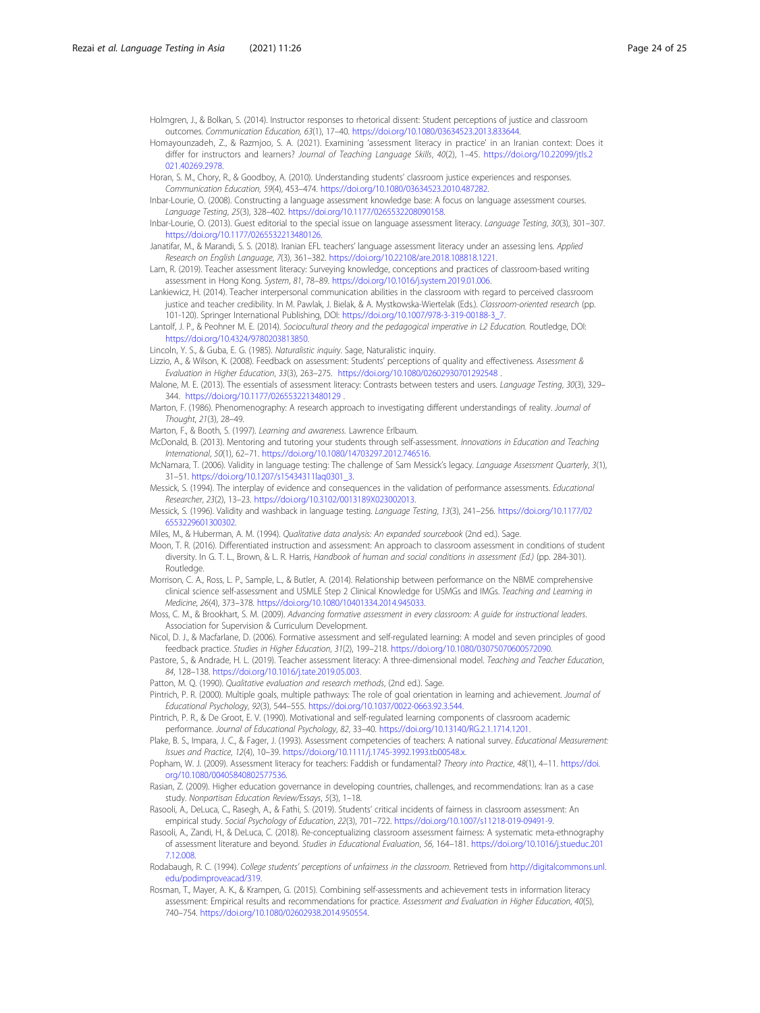<span id="page-23-0"></span>Holmgren, J., & Bolkan, S. (2014). Instructor responses to rhetorical dissent: Student perceptions of justice and classroom outcomes. Communication Education, 63(1), 17–40. <https://doi.org/10.1080/03634523.2013.833644>.

Homayounzadeh, Z., & Razmjoo, S. A. (2021). Examining 'assessment literacy in practice' in an Iranian context: Does it differ for instructors and learners? Journal of Teaching Language Skills, 40(2), 1-45. https://doi.org/10.22099/itls.2 [021.40269.2978](https://doi.org/10.22099/jtls.2021.40269.2978).

Horan, S. M., Chory, R., & Goodboy, A. (2010). Understanding students' classroom justice experiences and responses. Communication Education, 59(4), 453–474. <https://doi.org/10.1080/03634523.2010.487282>.

Inbar-Lourie, O. (2008). Constructing a language assessment knowledge base: A focus on language assessment courses. Language Testing, 25(3), 328–402. [https://doi.org/10.1177/0265532208090158.](https://doi.org/10.1177/0265532208090158)

Inbar-Lourie, O. (2013). Guest editorial to the special issue on language assessment literacy. Language Testing, 30(3), 301–307. <https://doi.org/10.1177/0265532213480126>.

Janatifar, M., & Marandi, S. S. (2018). Iranian EFL teachers' language assessment literacy under an assessing lens. Applied Research on English Language, 7(3), 361–382. [https://doi.org/10.22108/are.2018.108818.1221.](https://doi.org/10.22108/are.2018.108818.1221)

Lam, R. (2019). Teacher assessment literacy: Surveying knowledge, conceptions and practices of classroom-based writing assessment in Hong Kong. System, 81, 78–89. <https://doi.org/10.1016/j.system.2019.01.006>.

Lankiewicz, H. (2014). Teacher interpersonal communication abilities in the classroom with regard to perceived classroom justice and teacher credibility. In M. Pawlak, J. Bielak, & A. Mystkowska-Wiertelak (Eds.). Classroom-oriented research (pp. 101-120). Springer International Publishing, DOI: [https://doi.org/10.1007/978-3-319-00188-3\\_7](https://doi.org/10.1007/978-3-319-00188-3_7).

Lantolf, J. P., & Peohner M. E. (2014). Sociocultural theory and the pedagogical imperative in L2 Education. Routledge, DOI: <https://doi.org/10.4324/9780203813850>.

Lincoln, Y. S., & Guba, E. G. (1985). Naturalistic inquiry. Sage, Naturalistic inquiry.

Lizzio, A., & Wilson, K. (2008). Feedback on assessment: Students' perceptions of quality and effectiveness. Assessment & Evaluation in Higher Education, 33(3), 263–275. <https://doi.org/10.1080/02602930701292548> .

Malone, M. E. (2013). The essentials of assessment literacy: Contrasts between testers and users. Language Testing, 30(3), 329– 344. <https://doi.org/10.1177/0265532213480129> .

Marton, F. (1986). Phenomenography: A research approach to investigating different understandings of reality. Journal of Thought, 21(3), 28–49.

Marton, F., & Booth, S. (1997). Learning and awareness. Lawrence Erlbaum.

McDonald, B. (2013). Mentoring and tutoring your students through self-assessment. Innovations in Education and Teaching International, 50(1), 62–71. <https://doi.org/10.1080/14703297.2012.746516>.

McNamara, T. (2006). Validity in language testing: The challenge of Sam Messick's legacy. Language Assessment Quarterly, 3(1), 31–51. [https://doi.org/10.1207/s15434311laq0301\\_3](https://doi.org/10.1207/s15434311laq0301_3).

Messick, S. (1994). The interplay of evidence and consequences in the validation of performance assessments. Educational Researcher, 23(2), 13–23. <https://doi.org/10.3102/0013189X023002013>.

Messick, S. (1996). Validity and washback in language testing. Language Testing, 13(3), 241–256. [https://doi.org/10.1177/02](https://doi.org/10.1177/026553229601300302) [6553229601300302](https://doi.org/10.1177/026553229601300302).

Miles, M., & Huberman, A. M. (1994). Qualitative data analysis: An expanded sourcebook (2nd ed.). Sage.

Moon, T. R. (2016). Differentiated instruction and assessment: An approach to classroom assessment in conditions of student diversity. In G. T. L., Brown, & L. R. Harris, Handbook of human and social conditions in assessment (Ed.) (pp. 284-301). Routledge.

Morrison, C. A., Ross, L. P., Sample, L., & Butler, A. (2014). Relationship between performance on the NBME comprehensive clinical science self-assessment and USMLE Step 2 Clinical Knowledge for USMGs and IMGs. Teaching and Learning in Medicine, 26(4), 373–378. [https://doi.org/10.1080/10401334.2014.945033.](https://doi.org/10.1080/10401334.2014.945033)

Moss, C. M., & Brookhart, S. M. (2009). Advancing formative assessment in every classroom: A guide for instructional leaders. Association for Supervision & Curriculum Development.

Nicol, D. J., & Macfarlane, D. (2006). Formative assessment and self-regulated learning: A model and seven principles of good feedback practice. Studies in Higher Education, 31(2), 199–218. [https://doi.org/10.1080/03075070600572090.](https://doi.org/10.1080/03075070600572090)

Pastore, S., & Andrade, H. L. (2019). Teacher assessment literacy: A three-dimensional model. Teaching and Teacher Education, 84, 128–138. [https://doi.org/10.1016/j.tate.2019.05.003.](https://doi.org/10.1016/j.tate.2019.05.003)

Patton, M. Q. (1990). Qualitative evaluation and research methods, (2nd ed.). Sage.

Pintrich, P. R. (2000). Multiple goals, multiple pathways: The role of goal orientation in learning and achievement. Journal of Educational Psychology, 92(3), 544–555. <https://doi.org/10.1037/0022-0663.92.3.544>.

Pintrich, P. R., & De Groot, E. V. (1990). Motivational and self-regulated learning components of classroom academic performance. Journal of Educational Psychology, 82, 33–40. [https://doi.org/10.13140/RG.2.1.1714.1201.](https://doi.org/10.13140/RG.2.1.1714.1201)

Plake, B. S., Impara, J. C., & Fager, J. (1993). Assessment competencies of teachers: A national survey. Educational Measurement: Issues and Practice, 12(4), 10–39. [https://doi.org/10.1111/j.1745-3992.1993.tb00548.x.](https://doi.org/10.1111/j.1745-3992.1993.tb00548.x)

Popham, W. J. (2009). Assessment literacy for teachers: Faddish or fundamental? Theory into Practice, 48(1), 4-11. [https://doi.](https://doi.org/10.1080/00405840802577536) [org/10.1080/00405840802577536.](https://doi.org/10.1080/00405840802577536)

Rasian, Z. (2009). Higher education governance in developing countries, challenges, and recommendations: Iran as a case study. Nonpartisan Education Review/Essays, 5(3), 1–18.

Rasooli, A., DeLuca, C., Rasegh, A., & Fathi, S. (2019). Students' critical incidents of fairness in classroom assessment: An empirical study. Social Psychology of Education, 22(3), 701–722. <https://doi.org/10.1007/s11218-019-09491-9>.

Rasooli, A., Zandi, H., & DeLuca, C. (2018). Re-conceptualizing classroom assessment fairness: A systematic meta-ethnography of assessment literature and beyond. Studies in Educational Evaluation, 56, 164–181. [https://doi.org/10.1016/j.stueduc.201](https://doi.org/10.1016/j.stueduc.2017.12.008) [7.12.008.](https://doi.org/10.1016/j.stueduc.2017.12.008)

Rodabaugh, R. C. (1994). College students' perceptions of unfairness in the classroom. Retrieved from [http://digitalcommons.unl.](http://digitalcommons.unl.edu/podimproveacad/319) [edu/podimproveacad/319](http://digitalcommons.unl.edu/podimproveacad/319).

Rosman, T., Mayer, A. K., & Krampen, G. (2015). Combining self-assessments and achievement tests in information literacy assessment: Empirical results and recommendations for practice. Assessment and Evaluation in Higher Education, 40(5), 740–754. <https://doi.org/10.1080/02602938.2014.950554>.